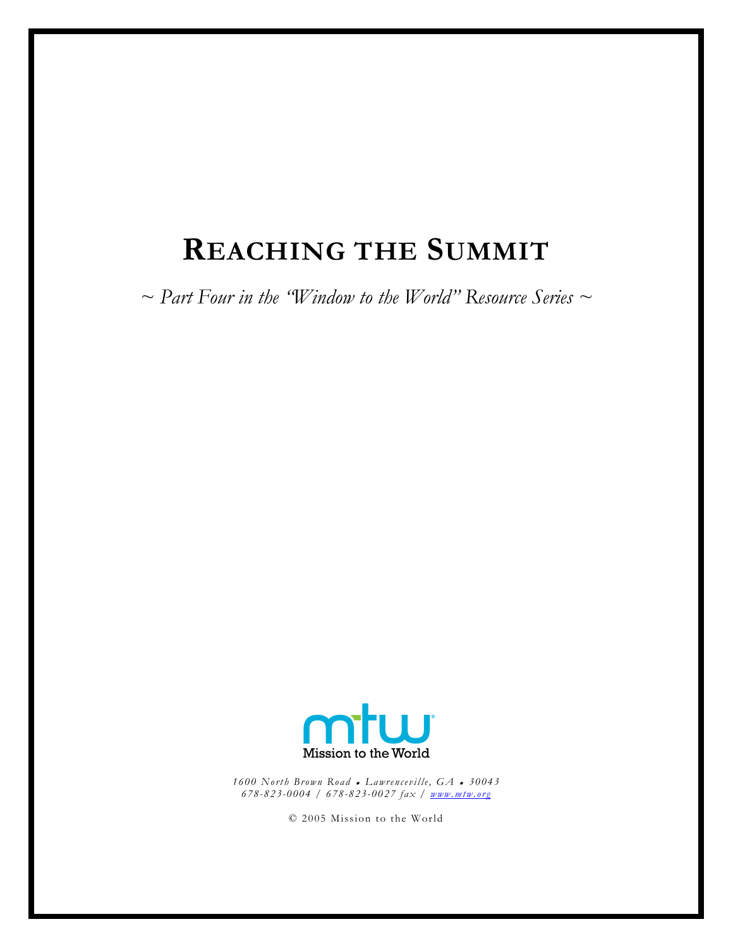# REACHING THE SUMMIT

 $\sim$  Part Four in the 'Window to the World'' Resource Series  $\sim$ 



1600 North Brown Road • Lawrenceville,  $GA$  • 30043 678- 823-0004 / 678-823- 0027 fax / www.mtw.org

© 2005 Mission to the World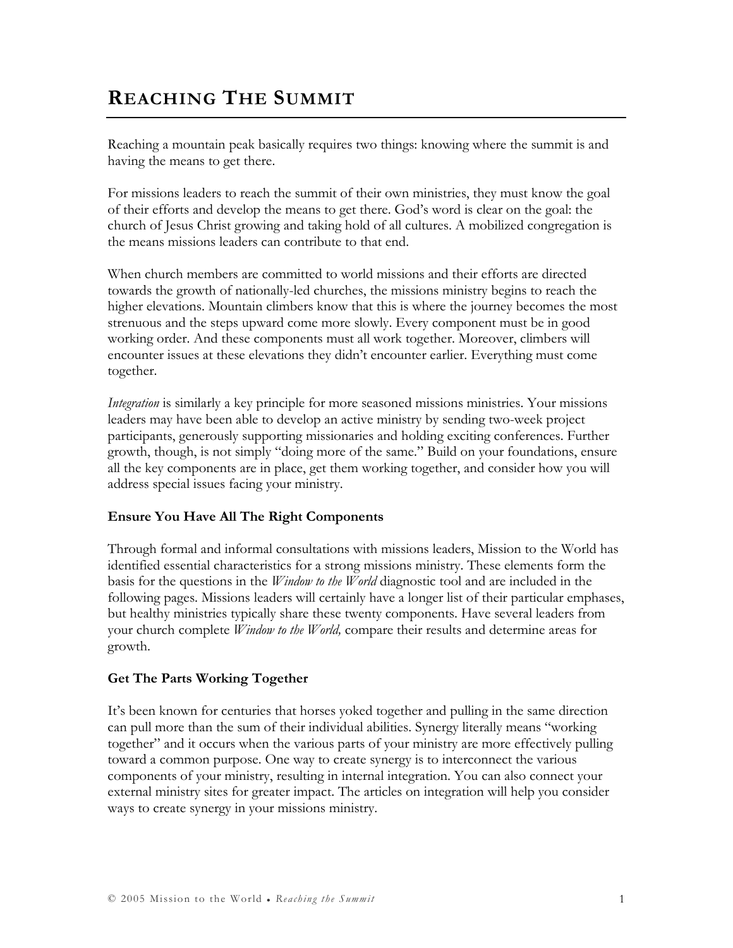## REACHING THE SUMMIT

Reaching a mountain peak basically requires two things: knowing where the summit is and having the means to get there.

For missions leaders to reach the summit of their own ministries, they must know the goal of their efforts and develop the means to get there. God's word is clear on the goal: the church of Jesus Christ growing and taking hold of all cultures. A mobilized congregation is the means missions leaders can contribute to that end.

When church members are committed to world missions and their efforts are directed towards the growth of nationally-led churches, the missions ministry begins to reach the higher elevations. Mountain climbers know that this is where the journey becomes the most strenuous and the steps upward come more slowly. Every component must be in good working order. And these components must all work together. Moreover, climbers will encounter issues at these elevations they didn't encounter earlier. Everything must come together.

Integration is similarly a key principle for more seasoned missions ministries. Your missions leaders may have been able to develop an active ministry by sending two-week project participants, generously supporting missionaries and holding exciting conferences. Further growth, though, is not simply "doing more of the same." Build on your foundations, ensure all the key components are in place, get them working together, and consider how you will address special issues facing your ministry.

#### Ensure You Have All The Right Components

Through formal and informal consultations with missions leaders, Mission to the World has identified essential characteristics for a strong missions ministry. These elements form the basis for the questions in the *Window to the World* diagnostic tool and are included in the following pages. Missions leaders will certainly have a longer list of their particular emphases, but healthy ministries typically share these twenty components. Have several leaders from your church complete *Window to the World*, compare their results and determine areas for growth.

#### Get The Parts Working Together

It's been known for centuries that horses yoked together and pulling in the same direction can pull more than the sum of their individual abilities. Synergy literally means "working together" and it occurs when the various parts of your ministry are more effectively pulling toward a common purpose. One way to create synergy is to interconnect the various components of your ministry, resulting in internal integration. You can also connect your external ministry sites for greater impact. The articles on integration will help you consider ways to create synergy in your missions ministry.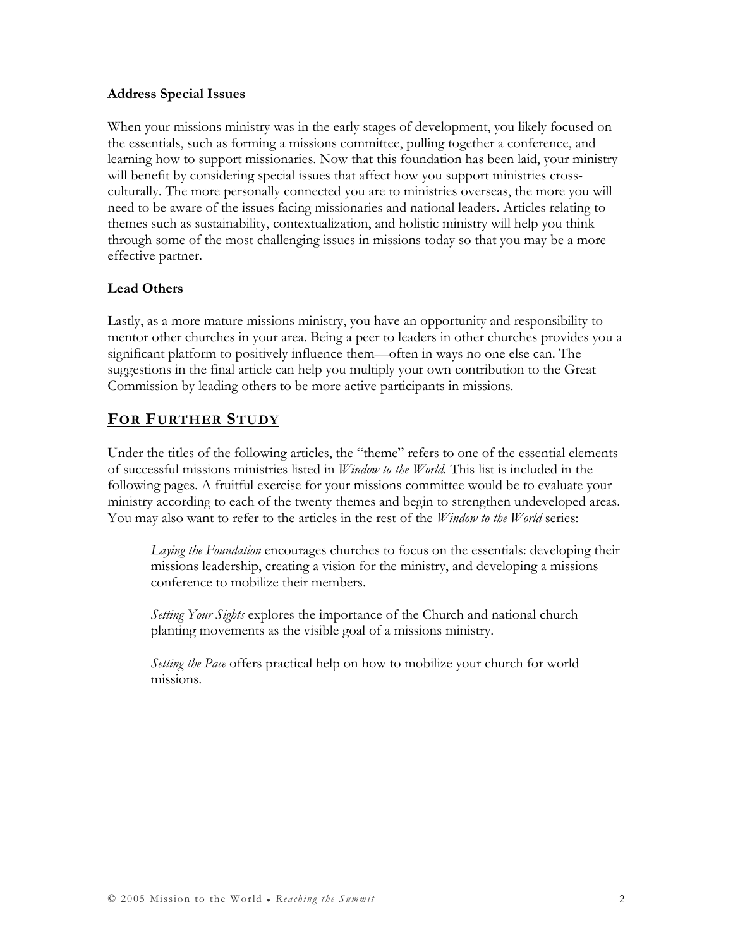#### Address Special Issues

When your missions ministry was in the early stages of development, you likely focused on the essentials, such as forming a missions committee, pulling together a conference, and learning how to support missionaries. Now that this foundation has been laid, your ministry will benefit by considering special issues that affect how you support ministries crossculturally. The more personally connected you are to ministries overseas, the more you will need to be aware of the issues facing missionaries and national leaders. Articles relating to themes such as sustainability, contextualization, and holistic ministry will help you think through some of the most challenging issues in missions today so that you may be a more effective partner.

#### Lead Others

Lastly, as a more mature missions ministry, you have an opportunity and responsibility to mentor other churches in your area. Being a peer to leaders in other churches provides you a significant platform to positively influence them—often in ways no one else can. The suggestions in the final article can help you multiply your own contribution to the Great Commission by leading others to be more active participants in missions.

### FOR FURTHER STUDY

Under the titles of the following articles, the "theme" refers to one of the essential elements of successful missions ministries listed in Window to the World. This list is included in the following pages. A fruitful exercise for your missions committee would be to evaluate your ministry according to each of the twenty themes and begin to strengthen undeveloped areas. You may also want to refer to the articles in the rest of the *Window to the World* series:

Laying the Foundation encourages churches to focus on the essentials: developing their missions leadership, creating a vision for the ministry, and developing a missions conference to mobilize their members.

Setting Your Sights explores the importance of the Church and national church planting movements as the visible goal of a missions ministry.

Setting the Pace offers practical help on how to mobilize your church for world missions.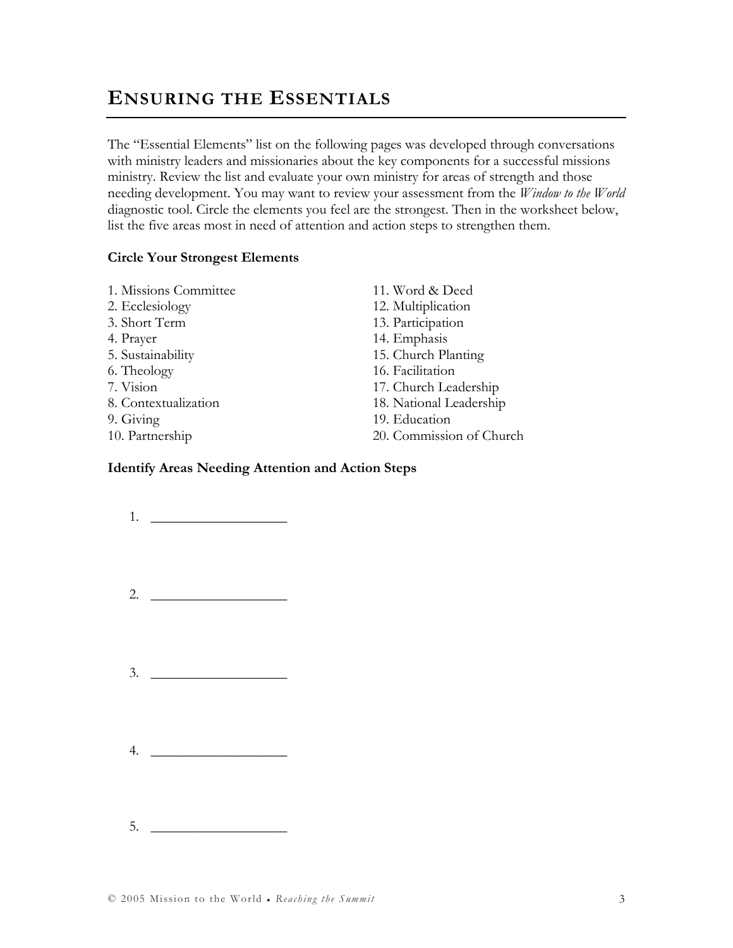### ENSURING THE ESSENTIALS

The "Essential Elements" list on the following pages was developed through conversations with ministry leaders and missionaries about the key components for a successful missions ministry. Review the list and evaluate your own ministry for areas of strength and those needing development. You may want to review your assessment from the Window to the World diagnostic tool. Circle the elements you feel are the strongest. Then in the worksheet below, list the five areas most in need of attention and action steps to strengthen them.

#### Circle Your Strongest Elements

| 1. Missions Committee | 11. Word & Deed          |
|-----------------------|--------------------------|
| 2. Ecclesiology       | 12. Multiplication       |
| 3. Short Term         | 13. Participation        |
| 4. Prayer             | 14. Emphasis             |
| 5. Sustainability     | 15. Church Planting      |
| 6. Theology           | 16. Facilitation         |
| 7. Vision             | 17. Church Leadership    |
| 8. Contextualization  | 18. National Leadership  |
| 9. Giving             | 19. Education            |
| 10. Partnership       | 20. Commission of Church |

#### Identify Areas Needing Attention and Action Steps

|    | 1. $\qquad$        |  |
|----|--------------------|--|
|    | 2. $\qquad \qquad$ |  |
|    |                    |  |
|    | 4. $\qquad \qquad$ |  |
| 5. |                    |  |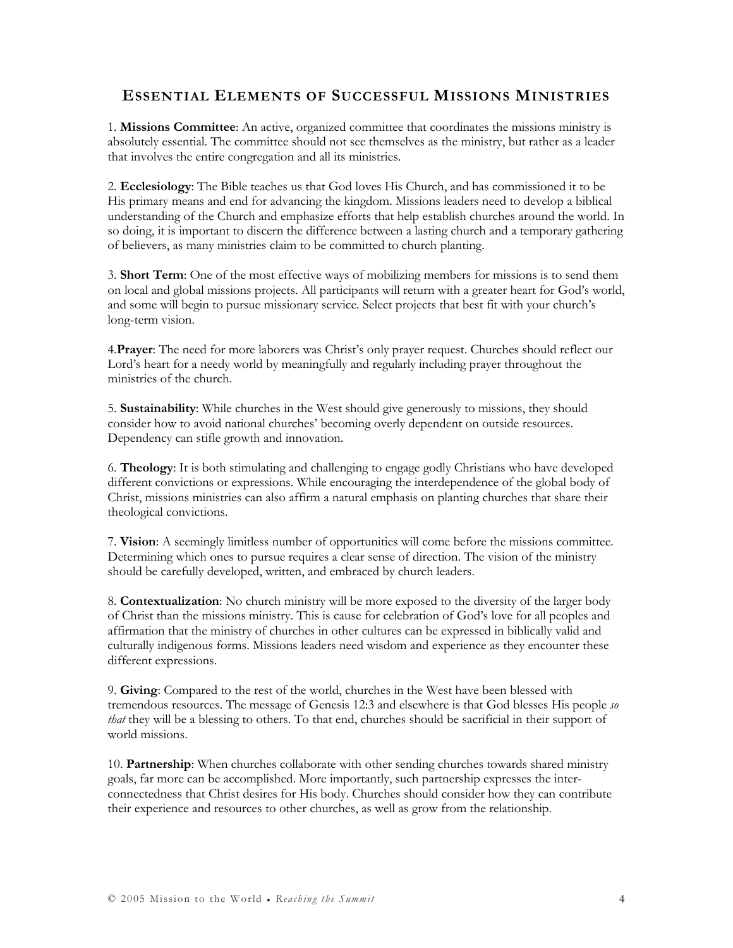#### ESSENTIAL ELEMENTS OF SUCCESSFUL MISSIONS MINISTRIES

1. Missions Committee: An active, organized committee that coordinates the missions ministry is absolutely essential. The committee should not see themselves as the ministry, but rather as a leader that involves the entire congregation and all its ministries.

2. Ecclesiology: The Bible teaches us that God loves His Church, and has commissioned it to be His primary means and end for advancing the kingdom. Missions leaders need to develop a biblical understanding of the Church and emphasize efforts that help establish churches around the world. In so doing, it is important to discern the difference between a lasting church and a temporary gathering of believers, as many ministries claim to be committed to church planting.

3. Short Term: One of the most effective ways of mobilizing members for missions is to send them on local and global missions projects. All participants will return with a greater heart for God's world, and some will begin to pursue missionary service. Select projects that best fit with your church's long-term vision.

4. Prayer: The need for more laborers was Christ's only prayer request. Churches should reflect our Lord's heart for a needy world by meaningfully and regularly including prayer throughout the ministries of the church.

5. Sustainability: While churches in the West should give generously to missions, they should consider how to avoid national churches' becoming overly dependent on outside resources. Dependency can stifle growth and innovation.

6. Theology: It is both stimulating and challenging to engage godly Christians who have developed different convictions or expressions. While encouraging the interdependence of the global body of Christ, missions ministries can also affirm a natural emphasis on planting churches that share their theological convictions.

7. Vision: A seemingly limitless number of opportunities will come before the missions committee. Determining which ones to pursue requires a clear sense of direction. The vision of the ministry should be carefully developed, written, and embraced by church leaders.

8. Contextualization: No church ministry will be more exposed to the diversity of the larger body of Christ than the missions ministry. This is cause for celebration of God's love for all peoples and affirmation that the ministry of churches in other cultures can be expressed in biblically valid and culturally indigenous forms. Missions leaders need wisdom and experience as they encounter these different expressions.

9. Giving: Compared to the rest of the world, churches in the West have been blessed with tremendous resources. The message of Genesis 12:3 and elsewhere is that God blesses His people so that they will be a blessing to others. To that end, churches should be sacrificial in their support of world missions.

10. Partnership: When churches collaborate with other sending churches towards shared ministry goals, far more can be accomplished. More importantly, such partnership expresses the interconnectedness that Christ desires for His body. Churches should consider how they can contribute their experience and resources to other churches, as well as grow from the relationship.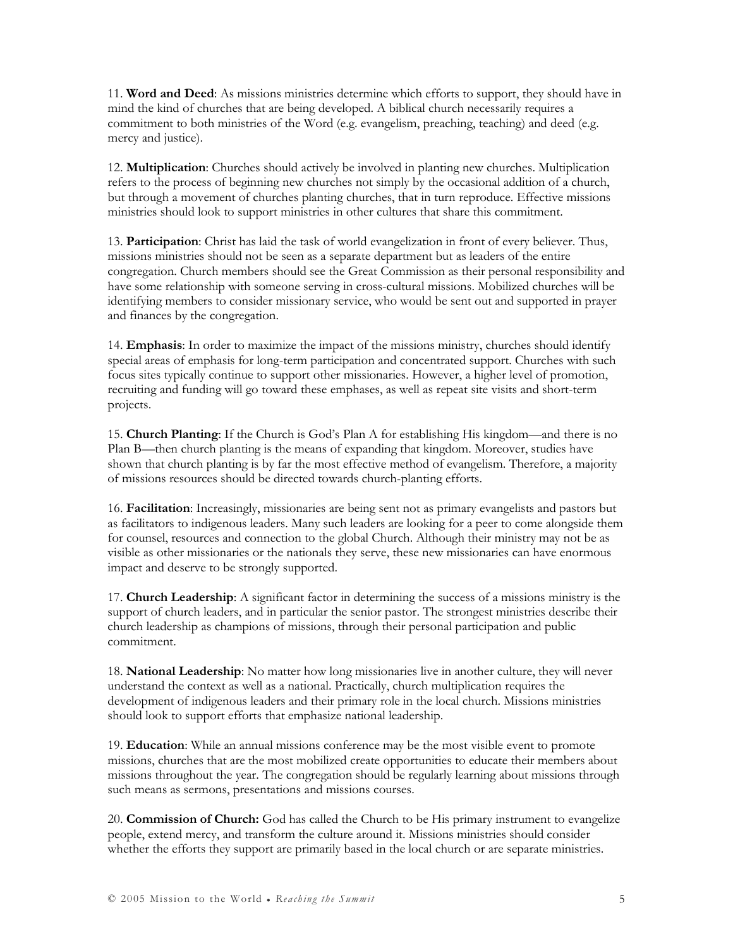11. Word and Deed: As missions ministries determine which efforts to support, they should have in mind the kind of churches that are being developed. A biblical church necessarily requires a commitment to both ministries of the Word (e.g. evangelism, preaching, teaching) and deed (e.g. mercy and justice).

12. Multiplication: Churches should actively be involved in planting new churches. Multiplication refers to the process of beginning new churches not simply by the occasional addition of a church, but through a movement of churches planting churches, that in turn reproduce. Effective missions ministries should look to support ministries in other cultures that share this commitment.

13. Participation: Christ has laid the task of world evangelization in front of every believer. Thus, missions ministries should not be seen as a separate department but as leaders of the entire congregation. Church members should see the Great Commission as their personal responsibility and have some relationship with someone serving in cross-cultural missions. Mobilized churches will be identifying members to consider missionary service, who would be sent out and supported in prayer and finances by the congregation.

14. Emphasis: In order to maximize the impact of the missions ministry, churches should identify special areas of emphasis for long-term participation and concentrated support. Churches with such focus sites typically continue to support other missionaries. However, a higher level of promotion, recruiting and funding will go toward these emphases, as well as repeat site visits and short-term projects.

15. Church Planting: If the Church is God's Plan A for establishing His kingdom—and there is no Plan B—then church planting is the means of expanding that kingdom. Moreover, studies have shown that church planting is by far the most effective method of evangelism. Therefore, a majority of missions resources should be directed towards church-planting efforts.

16. Facilitation: Increasingly, missionaries are being sent not as primary evangelists and pastors but as facilitators to indigenous leaders. Many such leaders are looking for a peer to come alongside them for counsel, resources and connection to the global Church. Although their ministry may not be as visible as other missionaries or the nationals they serve, these new missionaries can have enormous impact and deserve to be strongly supported.

17. **Church Leadership:** A significant factor in determining the success of a missions ministry is the support of church leaders, and in particular the senior pastor. The strongest ministries describe their church leadership as champions of missions, through their personal participation and public commitment.

18. National Leadership: No matter how long missionaries live in another culture, they will never understand the context as well as a national. Practically, church multiplication requires the development of indigenous leaders and their primary role in the local church. Missions ministries should look to support efforts that emphasize national leadership.

19. Education: While an annual missions conference may be the most visible event to promote missions, churches that are the most mobilized create opportunities to educate their members about missions throughout the year. The congregation should be regularly learning about missions through such means as sermons, presentations and missions courses.

20. **Commission of Church:** God has called the Church to be His primary instrument to evangelize people, extend mercy, and transform the culture around it. Missions ministries should consider whether the efforts they support are primarily based in the local church or are separate ministries.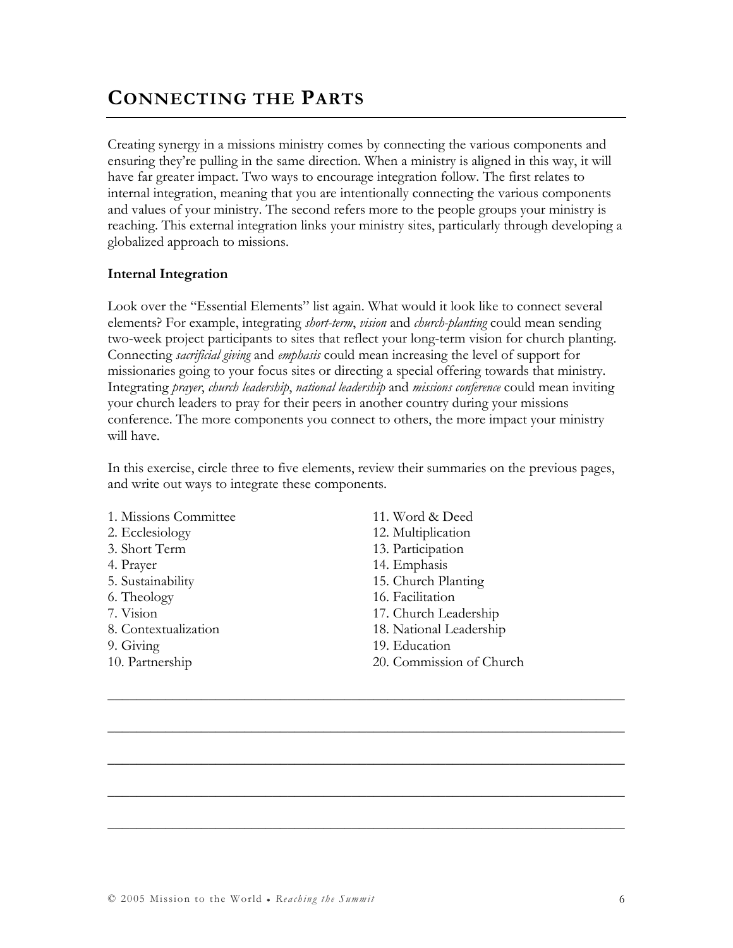### CONNECTING THE PARTS

Creating synergy in a missions ministry comes by connecting the various components and ensuring they're pulling in the same direction. When a ministry is aligned in this way, it will have far greater impact. Two ways to encourage integration follow. The first relates to internal integration, meaning that you are intentionally connecting the various components and values of your ministry. The second refers more to the people groups your ministry is reaching. This external integration links your ministry sites, particularly through developing a globalized approach to missions.

#### Internal Integration

Look over the "Essential Elements" list again. What would it look like to connect several elements? For example, integrating *short-term, vision* and *church-planting* could mean sending two-week project participants to sites that reflect your long-term vision for church planting. Connecting sacrificial giving and emphasis could mean increasing the level of support for missionaries going to your focus sites or directing a special offering towards that ministry. Integrating *prayer, church leadership, national leadership* and *missions conference* could mean inviting your church leaders to pray for their peers in another country during your missions conference. The more components you connect to others, the more impact your ministry will have.

In this exercise, circle three to five elements, review their summaries on the previous pages, and write out ways to integrate these components.

\_\_\_\_\_\_\_\_\_\_\_\_\_\_\_\_\_\_\_\_\_\_\_\_\_\_\_\_\_\_\_\_\_\_\_\_\_\_\_\_\_\_\_\_\_\_\_\_\_\_\_\_\_\_\_\_\_\_\_\_\_\_\_\_\_\_\_\_\_\_\_\_

\_\_\_\_\_\_\_\_\_\_\_\_\_\_\_\_\_\_\_\_\_\_\_\_\_\_\_\_\_\_\_\_\_\_\_\_\_\_\_\_\_\_\_\_\_\_\_\_\_\_\_\_\_\_\_\_\_\_\_\_\_\_\_\_\_\_\_\_\_\_\_\_

\_\_\_\_\_\_\_\_\_\_\_\_\_\_\_\_\_\_\_\_\_\_\_\_\_\_\_\_\_\_\_\_\_\_\_\_\_\_\_\_\_\_\_\_\_\_\_\_\_\_\_\_\_\_\_\_\_\_\_\_\_\_\_\_\_\_\_\_\_\_\_\_

\_\_\_\_\_\_\_\_\_\_\_\_\_\_\_\_\_\_\_\_\_\_\_\_\_\_\_\_\_\_\_\_\_\_\_\_\_\_\_\_\_\_\_\_\_\_\_\_\_\_\_\_\_\_\_\_\_\_\_\_\_\_\_\_\_\_\_\_\_\_\_\_

\_\_\_\_\_\_\_\_\_\_\_\_\_\_\_\_\_\_\_\_\_\_\_\_\_\_\_\_\_\_\_\_\_\_\_\_\_\_\_\_\_\_\_\_\_\_\_\_\_\_\_\_\_\_\_\_\_\_\_\_\_\_\_\_\_\_\_\_\_\_\_\_

| 1. Missions Committee | 11. Word & Deed          |
|-----------------------|--------------------------|
| 2. Ecclesiology       | 12. Multiplication       |
| 3. Short Term         | 13. Participation        |
| 4. Prayer             | 14. Emphasis             |
| 5. Sustainability     | 15. Church Planting      |
| 6. Theology           | 16. Facilitation         |
| 7. Vision             | 17. Church Leadership    |
| 8. Contextualization  | 18. National Leadership  |
| 9. Giving             | 19. Education            |
| 10. Partnership       | 20. Commission of Church |
|                       |                          |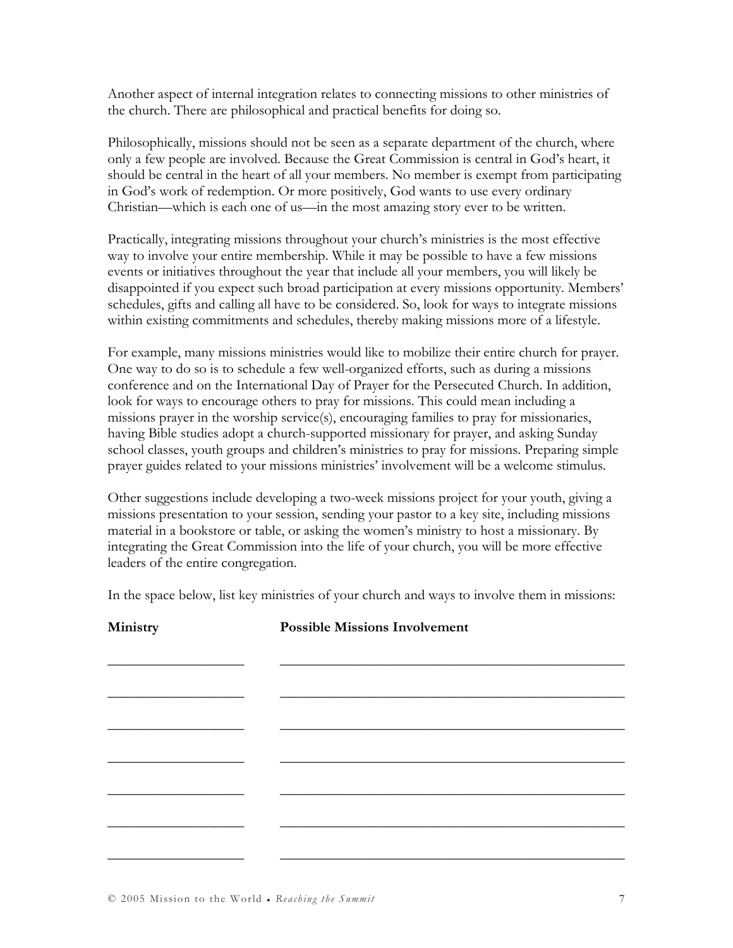Another aspect of internal integration relates to connecting missions to other ministries of the church. There are philosophical and practical benefits for doing so.

Philosophically, missions should not be seen as a separate department of the church, where only a few people are involved. Because the Great Commission is central in God's heart, it should be central in the heart of all your members. No member is exempt from participating in God's work of redemption. Or more positively, God wants to use every ordinary Christian—which is each one of us—in the most amazing story ever to be written.

Practically, integrating missions throughout your church's ministries is the most effective way to involve your entire membership. While it may be possible to have a few missions events or initiatives throughout the year that include all your members, you will likely be disappointed if you expect such broad participation at every missions opportunity. Members' schedules, gifts and calling all have to be considered. So, look for ways to integrate missions within existing commitments and schedules, thereby making missions more of a lifestyle.

For example, many missions ministries would like to mobilize their entire church for prayer. One way to do so is to schedule a few well-organized efforts, such as during a missions conference and on the International Day of Prayer for the Persecuted Church. In addition, look for ways to encourage others to pray for missions. This could mean including a missions prayer in the worship service(s), encouraging families to pray for missionaries, having Bible studies adopt a church-supported missionary for prayer, and asking Sunday school classes, youth groups and children's ministries to pray for missions. Preparing simple prayer guides related to your missions ministries' involvement will be a welcome stimulus.

Other suggestions include developing a two-week missions project for your youth, giving a missions presentation to your session, sending your pastor to a key site, including missions material in a bookstore or table, or asking the women's ministry to host a missionary. By integrating the Great Commission into the life of your church, you will be more effective leaders of the entire congregation.

In the space below, list key ministries of your church and ways to involve them in missions:

| Ministry | <b>Possible Missions Involvement</b> |  |
|----------|--------------------------------------|--|
|          |                                      |  |
|          |                                      |  |
|          |                                      |  |
|          |                                      |  |
|          |                                      |  |
|          |                                      |  |
|          |                                      |  |
|          |                                      |  |
|          |                                      |  |
|          |                                      |  |
|          |                                      |  |
|          |                                      |  |
|          |                                      |  |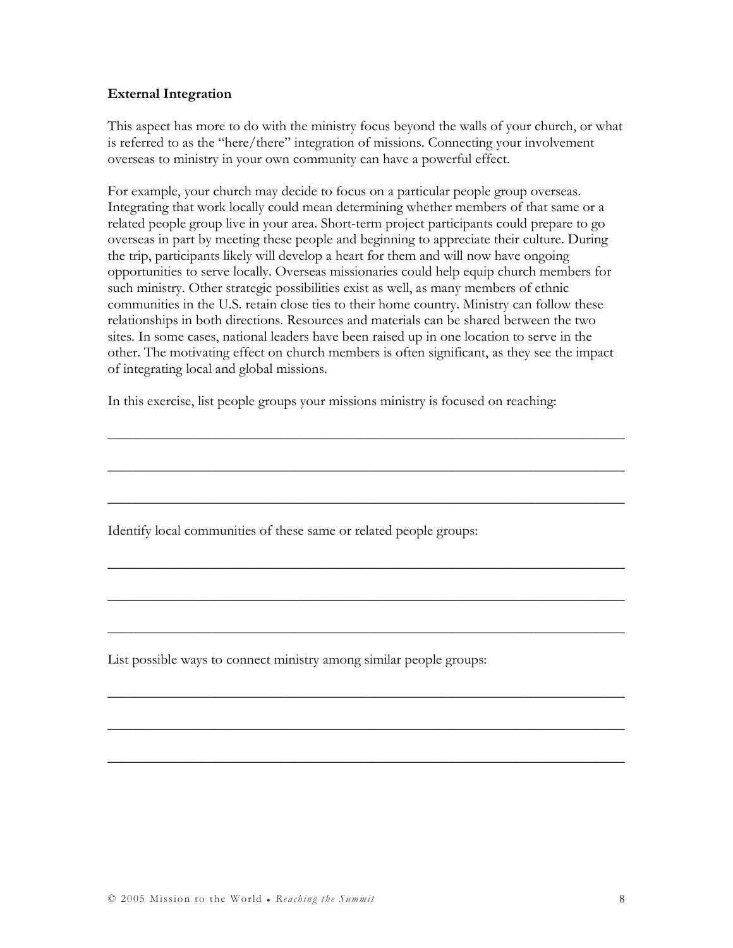#### External Integration

This aspect has more to do with the ministry focus beyond the walls of your church, or what is referred to as the "here/there" integration of missions. Connecting your involvement overseas to ministry in your own community can have a powerful effect.

For example, your church may decide to focus on a particular people group overseas. Integrating that work locally could mean determining whether members of that same or a related people group live in your area. Short-term project participants could prepare to go overseas in part by meeting these people and beginning to appreciate their culture. During the trip, participants likely will develop a heart for them and will now have ongoing opportunities to serve locally. Overseas missionaries could help equip church members for such ministry. Other strategic possibilities exist as well, as many members of ethnic communities in the U.S. retain close ties to their home country. Ministry can follow these relationships in both directions. Resources and materials can be shared between the two sites. In some cases, national leaders have been raised up in one location to serve in the other. The motivating effect on church members is often significant, as they see the impact of integrating local and global missions.

\_\_\_\_\_\_\_\_\_\_\_\_\_\_\_\_\_\_\_\_\_\_\_\_\_\_\_\_\_\_\_\_\_\_\_\_\_\_\_\_\_\_\_\_\_\_\_\_\_\_\_\_\_\_\_\_\_\_\_\_\_\_\_\_\_\_\_\_\_\_\_\_

\_\_\_\_\_\_\_\_\_\_\_\_\_\_\_\_\_\_\_\_\_\_\_\_\_\_\_\_\_\_\_\_\_\_\_\_\_\_\_\_\_\_\_\_\_\_\_\_\_\_\_\_\_\_\_\_\_\_\_\_\_\_\_\_\_\_\_\_\_\_\_\_

\_\_\_\_\_\_\_\_\_\_\_\_\_\_\_\_\_\_\_\_\_\_\_\_\_\_\_\_\_\_\_\_\_\_\_\_\_\_\_\_\_\_\_\_\_\_\_\_\_\_\_\_\_\_\_\_\_\_\_\_\_\_\_\_\_\_\_\_\_\_\_\_

\_\_\_\_\_\_\_\_\_\_\_\_\_\_\_\_\_\_\_\_\_\_\_\_\_\_\_\_\_\_\_\_\_\_\_\_\_\_\_\_\_\_\_\_\_\_\_\_\_\_\_\_\_\_\_\_\_\_\_\_\_\_\_\_\_\_\_\_\_\_\_\_

\_\_\_\_\_\_\_\_\_\_\_\_\_\_\_\_\_\_\_\_\_\_\_\_\_\_\_\_\_\_\_\_\_\_\_\_\_\_\_\_\_\_\_\_\_\_\_\_\_\_\_\_\_\_\_\_\_\_\_\_\_\_\_\_\_\_\_\_\_\_\_\_

\_\_\_\_\_\_\_\_\_\_\_\_\_\_\_\_\_\_\_\_\_\_\_\_\_\_\_\_\_\_\_\_\_\_\_\_\_\_\_\_\_\_\_\_\_\_\_\_\_\_\_\_\_\_\_\_\_\_\_\_\_\_\_\_\_\_\_\_\_\_\_\_

\_\_\_\_\_\_\_\_\_\_\_\_\_\_\_\_\_\_\_\_\_\_\_\_\_\_\_\_\_\_\_\_\_\_\_\_\_\_\_\_\_\_\_\_\_\_\_\_\_\_\_\_\_\_\_\_\_\_\_\_\_\_\_\_\_\_\_\_\_\_\_\_

\_\_\_\_\_\_\_\_\_\_\_\_\_\_\_\_\_\_\_\_\_\_\_\_\_\_\_\_\_\_\_\_\_\_\_\_\_\_\_\_\_\_\_\_\_\_\_\_\_\_\_\_\_\_\_\_\_\_\_\_\_\_\_\_\_\_\_\_\_\_\_\_

\_\_\_\_\_\_\_\_\_\_\_\_\_\_\_\_\_\_\_\_\_\_\_\_\_\_\_\_\_\_\_\_\_\_\_\_\_\_\_\_\_\_\_\_\_\_\_\_\_\_\_\_\_\_\_\_\_\_\_\_\_\_\_\_\_\_\_\_\_\_\_\_

In this exercise, list people groups your missions ministry is focused on reaching:

Identify local communities of these same or related people groups:

List possible ways to connect ministry among similar people groups: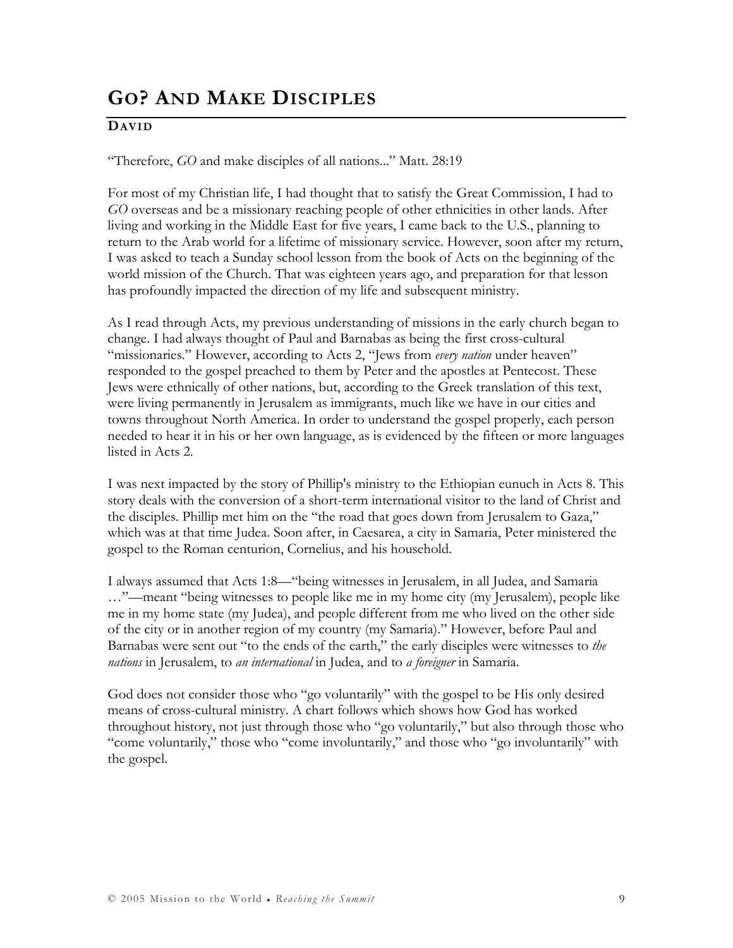### GO? AND MAKE DISCIPLES

#### DAVID

"Therefore, GO and make disciples of all nations..." Matt. 28:19

For most of my Christian life, I had thought that to satisfy the Great Commission, I had to GO overseas and be a missionary reaching people of other ethnicities in other lands. After living and working in the Middle East for five years, I came back to the U.S., planning to return to the Arab world for a lifetime of missionary service. However, soon after my return, I was asked to teach a Sunday school lesson from the book of Acts on the beginning of the world mission of the Church. That was eighteen years ago, and preparation for that lesson has profoundly impacted the direction of my life and subsequent ministry.

As I read through Acts, my previous understanding of missions in the early church began to change. I had always thought of Paul and Barnabas as being the first cross-cultural "missionaries." However, according to Acts 2, "Jews from every nation under heaven" responded to the gospel preached to them by Peter and the apostles at Pentecost. These Jews were ethnically of other nations, but, according to the Greek translation of this text, were living permanently in Jerusalem as immigrants, much like we have in our cities and towns throughout North America. In order to understand the gospel properly, each person needed to hear it in his or her own language, as is evidenced by the fifteen or more languages listed in Acts 2.

I was next impacted by the story of Phillip's ministry to the Ethiopian eunuch in Acts 8. This story deals with the conversion of a short-term international visitor to the land of Christ and the disciples. Phillip met him on the "the road that goes down from Jerusalem to Gaza," which was at that time Judea. Soon after, in Caesarea, a city in Samaria, Peter ministered the gospel to the Roman centurion, Cornelius, and his household.

I always assumed that Acts 1:8—"being witnesses in Jerusalem, in all Judea, and Samaria …"—meant "being witnesses to people like me in my home city (my Jerusalem), people like me in my home state (my Judea), and people different from me who lived on the other side of the city or in another region of my country (my Samaria)." However, before Paul and Barnabas were sent out "to the ends of the earth," the early disciples were witnesses to the nations in Jerusalem, to an international in Judea, and to a foreigner in Samaria.

God does not consider those who "go voluntarily" with the gospel to be His only desired means of cross-cultural ministry. A chart follows which shows how God has worked throughout history, not just through those who "go voluntarily," but also through those who "come voluntarily," those who "come involuntarily," and those who "go involuntarily" with the gospel.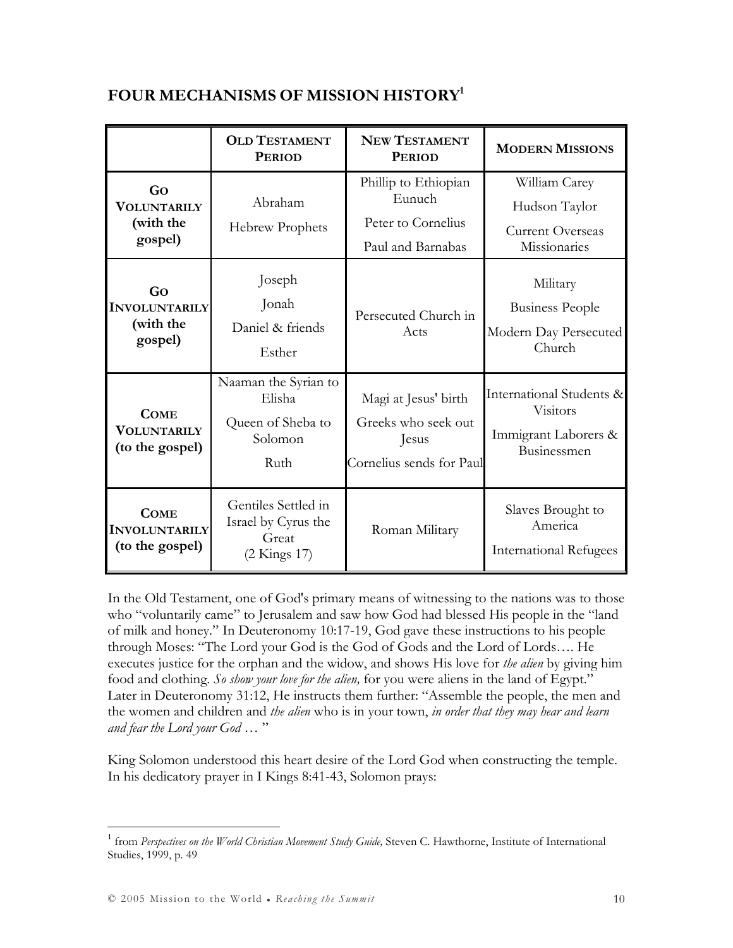|                                                        | <b>OLD TESTAMENT</b><br><b>PERIOD</b>                                  | <b>NEW TESTAMENT</b><br><b>PERIOD</b>                                            | <b>MODERN MISSIONS</b>                                                      |
|--------------------------------------------------------|------------------------------------------------------------------------|----------------------------------------------------------------------------------|-----------------------------------------------------------------------------|
| GO<br><b>VOLUNTARILY</b><br>(with the<br>gospel)       | Abraham<br><b>Hebrew Prophets</b>                                      | Phillip to Ethiopian<br>Eunuch<br>Peter to Cornelius<br>Paul and Barnabas        | William Carey<br>Hudson Taylor<br><b>Current Overseas</b><br>Missionaries   |
| GO<br><b>INVOLUNTARILY</b><br>(with the<br>gospel)     | Joseph<br>Jonah<br>Daniel & friends<br>Esther                          | Persecuted Church in<br>Acts                                                     | Military<br><b>Business People</b><br>Modern Day Persecuted<br>Church       |
| <b>COME</b><br><b>VOLUNTARILY</b><br>(to the gospel)   | Naaman the Syrian to<br>Elisha<br>Queen of Sheba to<br>Solomon<br>Ruth | Magi at Jesus' birth<br>Greeks who seek out<br>Jesus<br>Cornelius sends for Paul | International Students &<br>Visitors<br>Immigrant Laborers &<br>Businessmen |
| <b>COME</b><br><b>INVOLUNTARILY</b><br>(to the gospel) | Gentiles Settled in<br>Israel by Cyrus the<br>Great<br>(2 Kings 17)    | Roman Military                                                                   | Slaves Brought to<br>America<br><b>International Refugees</b>               |

### FOUR MECHANISMS OF MISSION HISTORY<sup>1</sup>

In the Old Testament, one of God's primary means of witnessing to the nations was to those who "voluntarily came" to Jerusalem and saw how God had blessed His people in the "land of milk and honey." In Deuteronomy 10:17-19, God gave these instructions to his people through Moses: "The Lord your God is the God of Gods and the Lord of Lords…. He executes justice for the orphan and the widow, and shows His love for the alien by giving him food and clothing. So show your love for the alien, for you were aliens in the land of Egypt." Later in Deuteronomy 31:12, He instructs them further: "Assemble the people, the men and the women and children and the alien who is in your town, in order that they may hear and learn and fear the Lord your God ..."

King Solomon understood this heart desire of the Lord God when constructing the temple. In his dedicatory prayer in I Kings 8:41-43, Solomon prays:

<sup>&</sup>lt;u>.</u><br><sup>1</sup> from *Perspectives on the World Christian Movement Study Guide,* Steven C. Hawthorne, Institute of International Studies, 1999, p. 49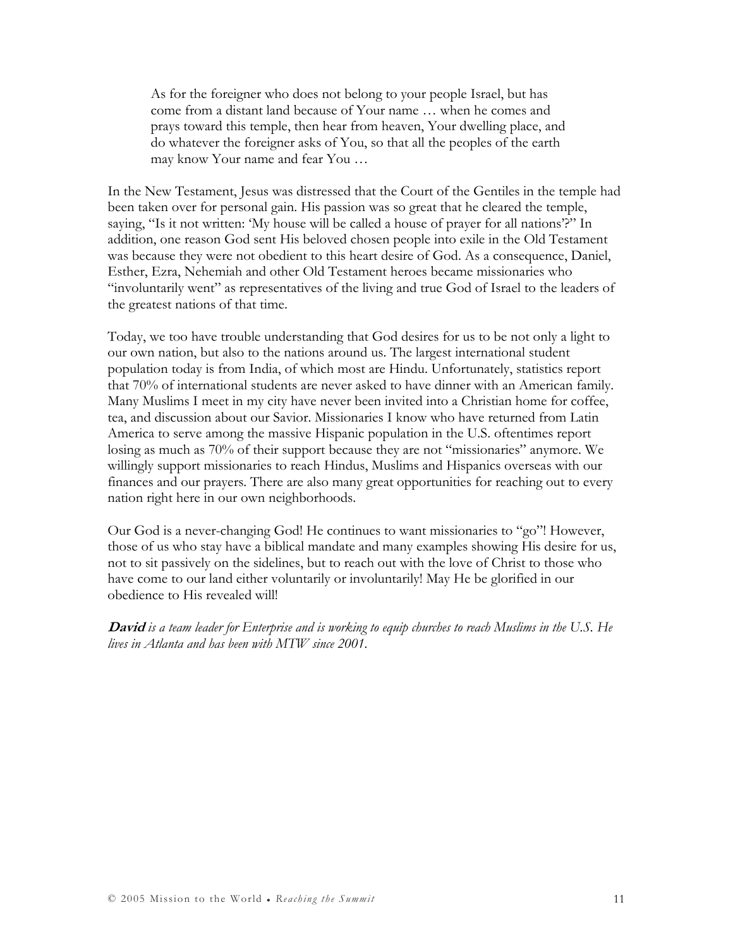As for the foreigner who does not belong to your people Israel, but has come from a distant land because of Your name … when he comes and prays toward this temple, then hear from heaven, Your dwelling place, and do whatever the foreigner asks of You, so that all the peoples of the earth may know Your name and fear You …

In the New Testament, Jesus was distressed that the Court of the Gentiles in the temple had been taken over for personal gain. His passion was so great that he cleared the temple, saying, "Is it not written: 'My house will be called a house of prayer for all nations'?" In addition, one reason God sent His beloved chosen people into exile in the Old Testament was because they were not obedient to this heart desire of God. As a consequence, Daniel, Esther, Ezra, Nehemiah and other Old Testament heroes became missionaries who "involuntarily went" as representatives of the living and true God of Israel to the leaders of the greatest nations of that time.

Today, we too have trouble understanding that God desires for us to be not only a light to our own nation, but also to the nations around us. The largest international student population today is from India, of which most are Hindu. Unfortunately, statistics report that 70% of international students are never asked to have dinner with an American family. Many Muslims I meet in my city have never been invited into a Christian home for coffee, tea, and discussion about our Savior. Missionaries I know who have returned from Latin America to serve among the massive Hispanic population in the U.S. oftentimes report losing as much as 70% of their support because they are not "missionaries" anymore. We willingly support missionaries to reach Hindus, Muslims and Hispanics overseas with our finances and our prayers. There are also many great opportunities for reaching out to every nation right here in our own neighborhoods.

Our God is a never-changing God! He continues to want missionaries to "go"! However, those of us who stay have a biblical mandate and many examples showing His desire for us, not to sit passively on the sidelines, but to reach out with the love of Christ to those who have come to our land either voluntarily or involuntarily! May He be glorified in our obedience to His revealed will!

David is a team leader for Enterprise and is working to equip churches to reach Muslims in the U.S. He lives in Atlanta and has been with MTW since 2001.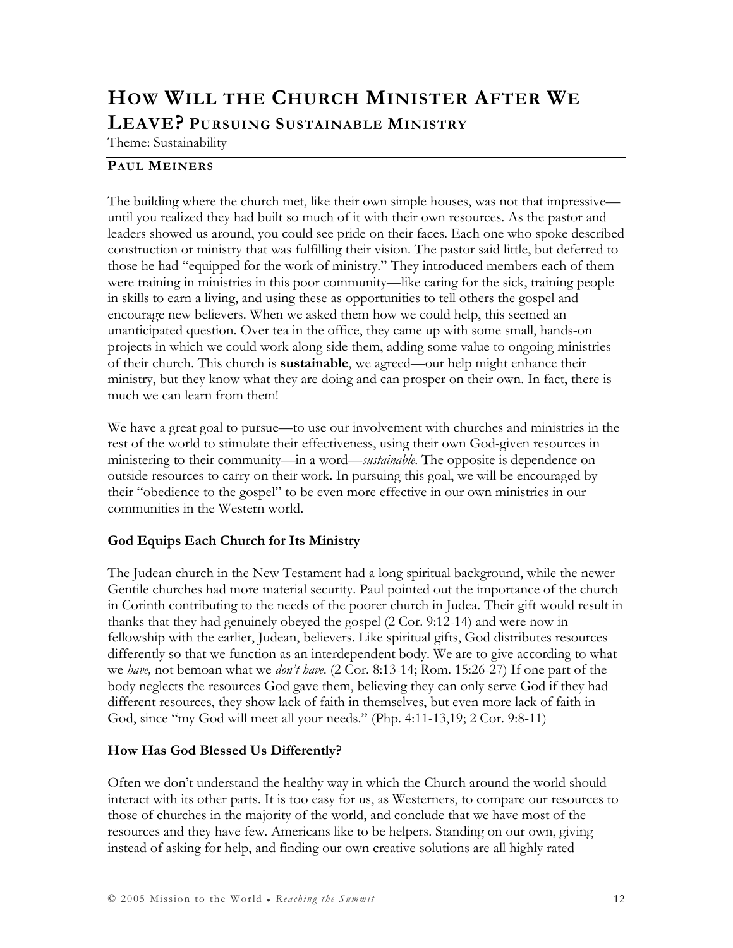# HOW WILL THE CHURCH MINISTER AFTER WE LEAVE? PURSUING SUSTAINABLE MINISTRY

Theme: Sustainability

#### PAUL MEINERS

The building where the church met, like their own simple houses, was not that impressive until you realized they had built so much of it with their own resources. As the pastor and leaders showed us around, you could see pride on their faces. Each one who spoke described construction or ministry that was fulfilling their vision. The pastor said little, but deferred to those he had "equipped for the work of ministry." They introduced members each of them were training in ministries in this poor community—like caring for the sick, training people in skills to earn a living, and using these as opportunities to tell others the gospel and encourage new believers. When we asked them how we could help, this seemed an unanticipated question. Over tea in the office, they came up with some small, hands-on projects in which we could work along side them, adding some value to ongoing ministries of their church. This church is sustainable, we agreed—our help might enhance their ministry, but they know what they are doing and can prosper on their own. In fact, there is much we can learn from them!

We have a great goal to pursue—to use our involvement with churches and ministries in the rest of the world to stimulate their effectiveness, using their own God-given resources in ministering to their community—in a word—*sustainable*. The opposite is dependence on outside resources to carry on their work. In pursuing this goal, we will be encouraged by their "obedience to the gospel" to be even more effective in our own ministries in our communities in the Western world.

#### God Equips Each Church for Its Ministry

The Judean church in the New Testament had a long spiritual background, while the newer Gentile churches had more material security. Paul pointed out the importance of the church in Corinth contributing to the needs of the poorer church in Judea. Their gift would result in thanks that they had genuinely obeyed the gospel (2 Cor. 9:12-14) and were now in fellowship with the earlier, Judean, believers. Like spiritual gifts, God distributes resources differently so that we function as an interdependent body. We are to give according to what we have, not bemoan what we don't have. (2 Cor. 8:13-14; Rom. 15:26-27) If one part of the body neglects the resources God gave them, believing they can only serve God if they had different resources, they show lack of faith in themselves, but even more lack of faith in God, since "my God will meet all your needs." (Php. 4:11-13,19; 2 Cor. 9:8-11)

#### How Has God Blessed Us Differently?

Often we don't understand the healthy way in which the Church around the world should interact with its other parts. It is too easy for us, as Westerners, to compare our resources to those of churches in the majority of the world, and conclude that we have most of the resources and they have few. Americans like to be helpers. Standing on our own, giving instead of asking for help, and finding our own creative solutions are all highly rated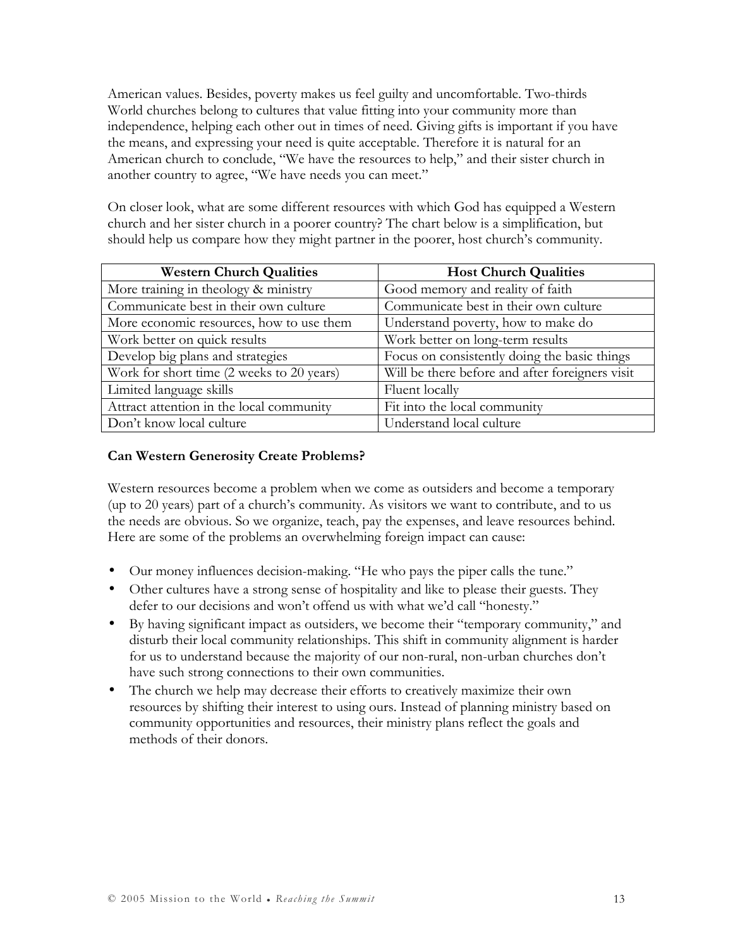American values. Besides, poverty makes us feel guilty and uncomfortable. Two-thirds World churches belong to cultures that value fitting into your community more than independence, helping each other out in times of need. Giving gifts is important if you have the means, and expressing your need is quite acceptable. Therefore it is natural for an American church to conclude, "We have the resources to help," and their sister church in another country to agree, "We have needs you can meet."

On closer look, what are some different resources with which God has equipped a Western church and her sister church in a poorer country? The chart below is a simplification, but should help us compare how they might partner in the poorer, host church's community.

| <b>Western Church Qualities</b>           | <b>Host Church Qualities</b>                    |
|-------------------------------------------|-------------------------------------------------|
| More training in theology & ministry      | Good memory and reality of faith                |
| Communicate best in their own culture     | Communicate best in their own culture           |
| More economic resources, how to use them  | Understand poverty, how to make do              |
| Work better on quick results              | Work better on long-term results                |
| Develop big plans and strategies          | Focus on consistently doing the basic things    |
| Work for short time (2 weeks to 20 years) | Will be there before and after foreigners visit |
| Limited language skills                   | Fluent locally                                  |
| Attract attention in the local community  | Fit into the local community                    |
| Don't know local culture                  | Understand local culture                        |

#### Can Western Generosity Create Problems?

Western resources become a problem when we come as outsiders and become a temporary (up to 20 years) part of a church's community. As visitors we want to contribute, and to us the needs are obvious. So we organize, teach, pay the expenses, and leave resources behind. Here are some of the problems an overwhelming foreign impact can cause:

- Our money influences decision-making. "He who pays the piper calls the tune."
- Other cultures have a strong sense of hospitality and like to please their guests. They defer to our decisions and won't offend us with what we'd call "honesty."
- By having significant impact as outsiders, we become their "temporary community," and disturb their local community relationships. This shift in community alignment is harder for us to understand because the majority of our non-rural, non-urban churches don't have such strong connections to their own communities.
- The church we help may decrease their efforts to creatively maximize their own resources by shifting their interest to using ours. Instead of planning ministry based on community opportunities and resources, their ministry plans reflect the goals and methods of their donors.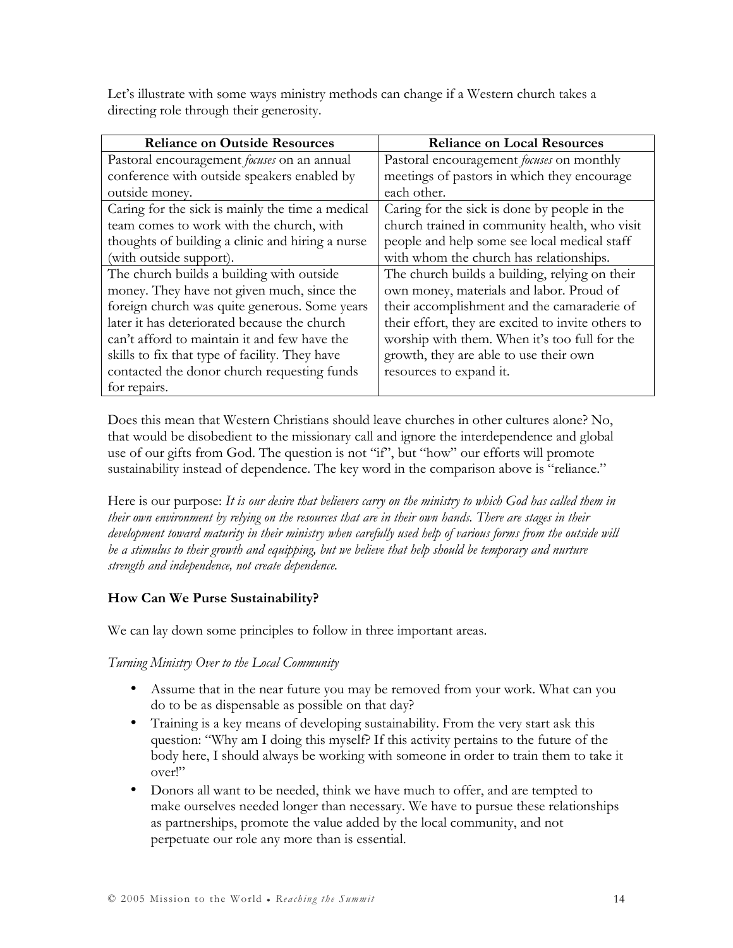Let's illustrate with some ways ministry methods can change if a Western church takes a directing role through their generosity.

| <b>Reliance on Outside Resources</b>             | <b>Reliance on Local Resources</b>                 |
|--------------------------------------------------|----------------------------------------------------|
| Pastoral encouragement focuses on an annual      | Pastoral encouragement <i>focuses</i> on monthly   |
| conference with outside speakers enabled by      | meetings of pastors in which they encourage        |
| outside money.                                   | each other.                                        |
| Caring for the sick is mainly the time a medical | Caring for the sick is done by people in the       |
| team comes to work with the church, with         | church trained in community health, who visit      |
| thoughts of building a clinic and hiring a nurse | people and help some see local medical staff       |
| (with outside support).                          | with whom the church has relationships.            |
| The church builds a building with outside        | The church builds a building, relying on their     |
| money. They have not given much, since the       | own money, materials and labor. Proud of           |
| foreign church was quite generous. Some years    | their accomplishment and the camaraderie of        |
| later it has deteriorated because the church     | their effort, they are excited to invite others to |
| can't afford to maintain it and few have the     | worship with them. When it's too full for the      |
| skills to fix that type of facility. They have   | growth, they are able to use their own             |
| contacted the donor church requesting funds      | resources to expand it.                            |
| for repairs.                                     |                                                    |

Does this mean that Western Christians should leave churches in other cultures alone? No, that would be disobedient to the missionary call and ignore the interdependence and global use of our gifts from God. The question is not "if", but "how" our efforts will promote sustainability instead of dependence. The key word in the comparison above is "reliance."

Here is our purpose: It is our desire that believers carry on the ministry to which God has called them in their own environment by relying on the resources that are in their own hands. There are stages in their development toward maturity in their ministry when carefully used help of various forms from the outside will be a stimulus to their growth and equipping, but we believe that help should be temporary and nurture strength and independence, not create dependence.

#### How Can We Purse Sustainability?

We can lay down some principles to follow in three important areas.

Turning Ministry Over to the Local Community

- Assume that in the near future you may be removed from your work. What can you do to be as dispensable as possible on that day?
- Training is a key means of developing sustainability. From the very start ask this question: "Why am I doing this myself? If this activity pertains to the future of the body here, I should always be working with someone in order to train them to take it over!"
- Donors all want to be needed, think we have much to offer, and are tempted to make ourselves needed longer than necessary. We have to pursue these relationships as partnerships, promote the value added by the local community, and not perpetuate our role any more than is essential.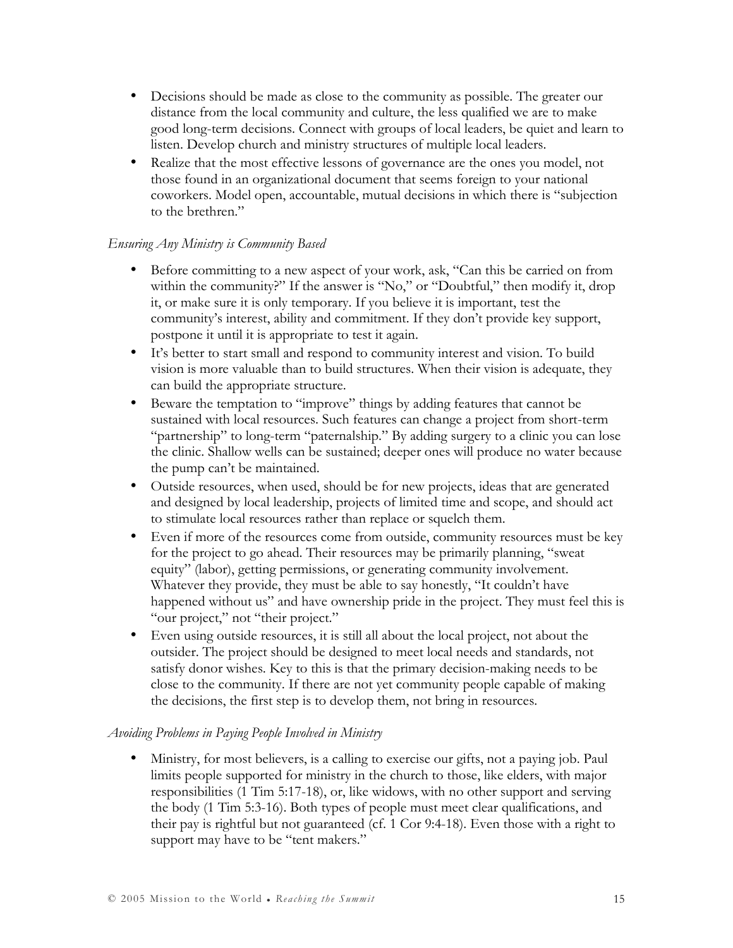- Decisions should be made as close to the community as possible. The greater our distance from the local community and culture, the less qualified we are to make good long-term decisions. Connect with groups of local leaders, be quiet and learn to listen. Develop church and ministry structures of multiple local leaders.
- Realize that the most effective lessons of governance are the ones you model, not those found in an organizational document that seems foreign to your national coworkers. Model open, accountable, mutual decisions in which there is "subjection to the brethren."

#### Ensuring Any Ministry is Community Based

- Before committing to a new aspect of your work, ask, "Can this be carried on from within the community?" If the answer is "No," or "Doubtful," then modify it, drop it, or make sure it is only temporary. If you believe it is important, test the community's interest, ability and commitment. If they don't provide key support, postpone it until it is appropriate to test it again.
- It's better to start small and respond to community interest and vision. To build vision is more valuable than to build structures. When their vision is adequate, they can build the appropriate structure.
- Beware the temptation to "improve" things by adding features that cannot be sustained with local resources. Such features can change a project from short-term "partnership" to long-term "paternalship." By adding surgery to a clinic you can lose the clinic. Shallow wells can be sustained; deeper ones will produce no water because the pump can't be maintained.
- Outside resources, when used, should be for new projects, ideas that are generated and designed by local leadership, projects of limited time and scope, and should act to stimulate local resources rather than replace or squelch them.
- Even if more of the resources come from outside, community resources must be key for the project to go ahead. Their resources may be primarily planning, "sweat equity" (labor), getting permissions, or generating community involvement. Whatever they provide, they must be able to say honestly, "It couldn't have happened without us" and have ownership pride in the project. They must feel this is "our project," not "their project."
- Even using outside resources, it is still all about the local project, not about the outsider. The project should be designed to meet local needs and standards, not satisfy donor wishes. Key to this is that the primary decision-making needs to be close to the community. If there are not yet community people capable of making the decisions, the first step is to develop them, not bring in resources.

#### Avoiding Problems in Paying People Involved in Ministry

• Ministry, for most believers, is a calling to exercise our gifts, not a paying job. Paul limits people supported for ministry in the church to those, like elders, with major responsibilities (1 Tim 5:17-18), or, like widows, with no other support and serving the body (1 Tim 5:3-16). Both types of people must meet clear qualifications, and their pay is rightful but not guaranteed (cf. 1 Cor 9:4-18). Even those with a right to support may have to be "tent makers."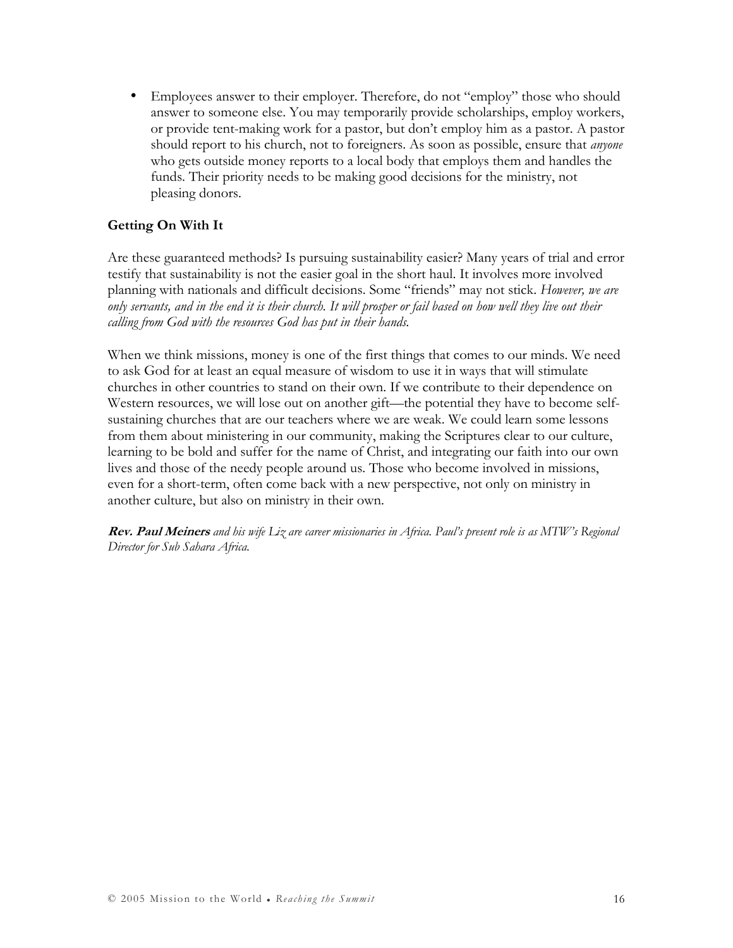• Employees answer to their employer. Therefore, do not "employ" those who should answer to someone else. You may temporarily provide scholarships, employ workers, or provide tent-making work for a pastor, but don't employ him as a pastor. A pastor should report to his church, not to foreigners. As soon as possible, ensure that *anyone* who gets outside money reports to a local body that employs them and handles the funds. Their priority needs to be making good decisions for the ministry, not pleasing donors.

#### Getting On With It

Are these guaranteed methods? Is pursuing sustainability easier? Many years of trial and error testify that sustainability is not the easier goal in the short haul. It involves more involved planning with nationals and difficult decisions. Some "friends" may not stick. However, we are only servants, and in the end it is their church. It will prosper or fail based on how well they live out their calling from God with the resources God has put in their hands.

When we think missions, money is one of the first things that comes to our minds. We need to ask God for at least an equal measure of wisdom to use it in ways that will stimulate churches in other countries to stand on their own. If we contribute to their dependence on Western resources, we will lose out on another gift—the potential they have to become selfsustaining churches that are our teachers where we are weak. We could learn some lessons from them about ministering in our community, making the Scriptures clear to our culture, learning to be bold and suffer for the name of Christ, and integrating our faith into our own lives and those of the needy people around us. Those who become involved in missions, even for a short-term, often come back with a new perspective, not only on ministry in another culture, but also on ministry in their own.

Rev. Paul Meiners and his wife Liz are career missionaries in Africa. Paul's present role is as MTW's Regional Director for Sub Sahara Africa.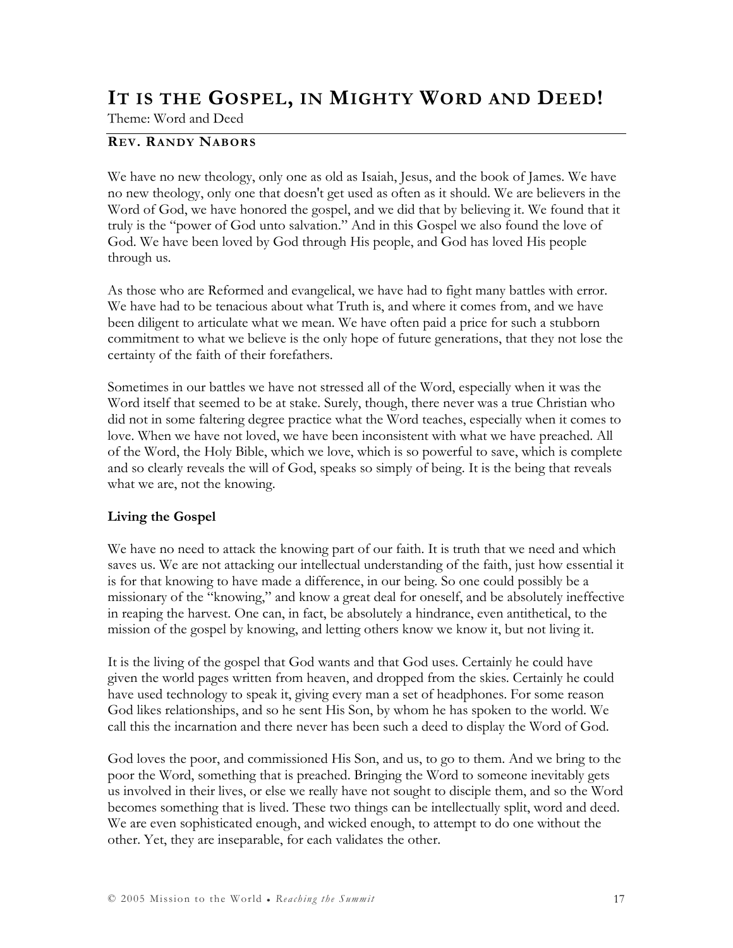### IT IS THE GOSPEL, IN MIGHTY WORD AND DEED!

Theme: Word and Deed

### REV. RANDY NABORS

We have no new theology, only one as old as Isaiah, Jesus, and the book of James. We have no new theology, only one that doesn't get used as often as it should. We are believers in the Word of God, we have honored the gospel, and we did that by believing it. We found that it truly is the "power of God unto salvation." And in this Gospel we also found the love of God. We have been loved by God through His people, and God has loved His people through us.

As those who are Reformed and evangelical, we have had to fight many battles with error. We have had to be tenacious about what Truth is, and where it comes from, and we have been diligent to articulate what we mean. We have often paid a price for such a stubborn commitment to what we believe is the only hope of future generations, that they not lose the certainty of the faith of their forefathers.

Sometimes in our battles we have not stressed all of the Word, especially when it was the Word itself that seemed to be at stake. Surely, though, there never was a true Christian who did not in some faltering degree practice what the Word teaches, especially when it comes to love. When we have not loved, we have been inconsistent with what we have preached. All of the Word, the Holy Bible, which we love, which is so powerful to save, which is complete and so clearly reveals the will of God, speaks so simply of being. It is the being that reveals what we are, not the knowing.

#### Living the Gospel

We have no need to attack the knowing part of our faith. It is truth that we need and which saves us. We are not attacking our intellectual understanding of the faith, just how essential it is for that knowing to have made a difference, in our being. So one could possibly be a missionary of the "knowing," and know a great deal for oneself, and be absolutely ineffective in reaping the harvest. One can, in fact, be absolutely a hindrance, even antithetical, to the mission of the gospel by knowing, and letting others know we know it, but not living it.

It is the living of the gospel that God wants and that God uses. Certainly he could have given the world pages written from heaven, and dropped from the skies. Certainly he could have used technology to speak it, giving every man a set of headphones. For some reason God likes relationships, and so he sent His Son, by whom he has spoken to the world. We call this the incarnation and there never has been such a deed to display the Word of God.

God loves the poor, and commissioned His Son, and us, to go to them. And we bring to the poor the Word, something that is preached. Bringing the Word to someone inevitably gets us involved in their lives, or else we really have not sought to disciple them, and so the Word becomes something that is lived. These two things can be intellectually split, word and deed. We are even sophisticated enough, and wicked enough, to attempt to do one without the other. Yet, they are inseparable, for each validates the other.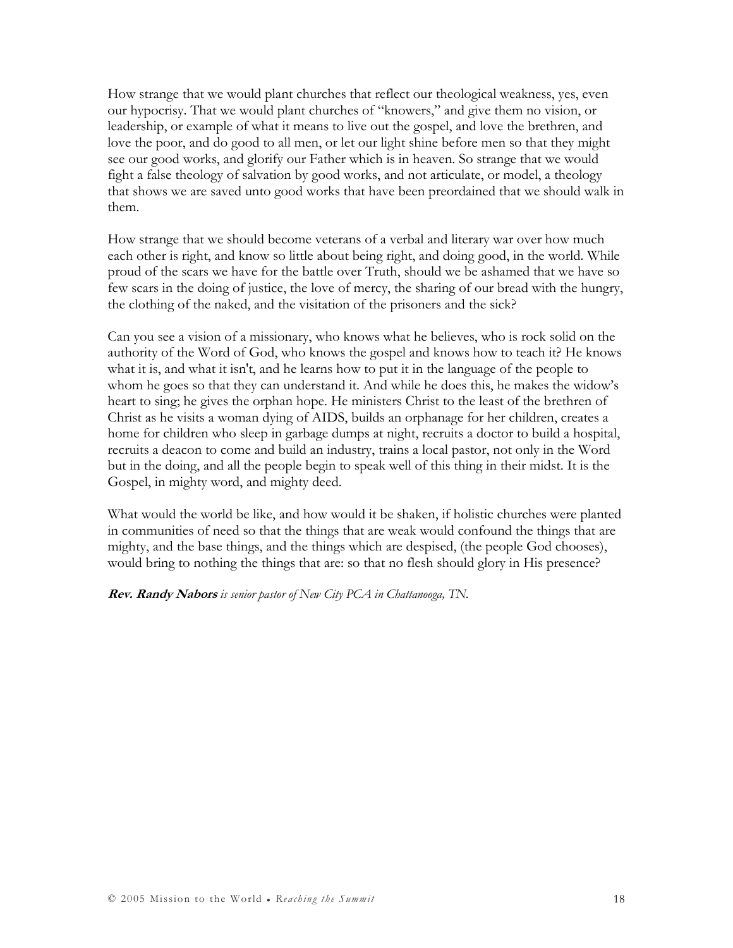How strange that we would plant churches that reflect our theological weakness, yes, even our hypocrisy. That we would plant churches of "knowers," and give them no vision, or leadership, or example of what it means to live out the gospel, and love the brethren, and love the poor, and do good to all men, or let our light shine before men so that they might see our good works, and glorify our Father which is in heaven. So strange that we would fight a false theology of salvation by good works, and not articulate, or model, a theology that shows we are saved unto good works that have been preordained that we should walk in them.

How strange that we should become veterans of a verbal and literary war over how much each other is right, and know so little about being right, and doing good, in the world. While proud of the scars we have for the battle over Truth, should we be ashamed that we have so few scars in the doing of justice, the love of mercy, the sharing of our bread with the hungry, the clothing of the naked, and the visitation of the prisoners and the sick?

Can you see a vision of a missionary, who knows what he believes, who is rock solid on the authority of the Word of God, who knows the gospel and knows how to teach it? He knows what it is, and what it isn't, and he learns how to put it in the language of the people to whom he goes so that they can understand it. And while he does this, he makes the widow's heart to sing; he gives the orphan hope. He ministers Christ to the least of the brethren of Christ as he visits a woman dying of AIDS, builds an orphanage for her children, creates a home for children who sleep in garbage dumps at night, recruits a doctor to build a hospital, recruits a deacon to come and build an industry, trains a local pastor, not only in the Word but in the doing, and all the people begin to speak well of this thing in their midst. It is the Gospel, in mighty word, and mighty deed.

What would the world be like, and how would it be shaken, if holistic churches were planted in communities of need so that the things that are weak would confound the things that are mighty, and the base things, and the things which are despised, (the people God chooses), would bring to nothing the things that are: so that no flesh should glory in His presence?

Rev. Randy Nabors is senior pastor of New City PCA in Chattanooga, TN.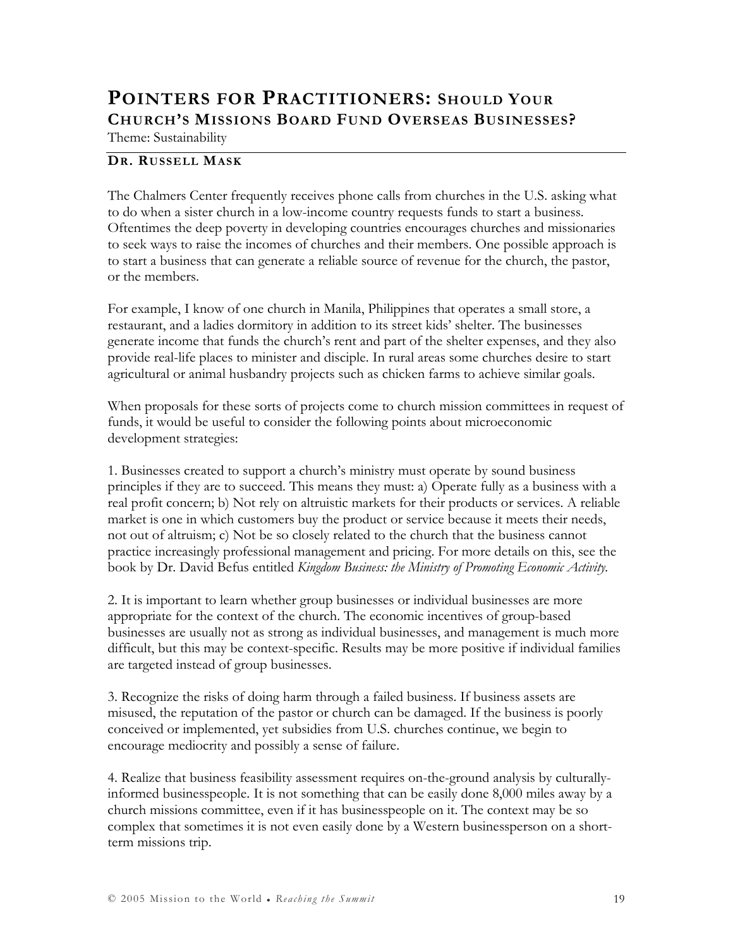### POINTERS FOR PRACTITIONERS: SHOULD YOUR CHURCH'S MISSIONS BOARD FUND OVERSEAS BUSINESSES?

Theme: Sustainability

#### DR. RUSSELL MASK

The Chalmers Center frequently receives phone calls from churches in the U.S. asking what to do when a sister church in a low-income country requests funds to start a business. Oftentimes the deep poverty in developing countries encourages churches and missionaries to seek ways to raise the incomes of churches and their members. One possible approach is to start a business that can generate a reliable source of revenue for the church, the pastor, or the members.

For example, I know of one church in Manila, Philippines that operates a small store, a restaurant, and a ladies dormitory in addition to its street kids' shelter. The businesses generate income that funds the church's rent and part of the shelter expenses, and they also provide real-life places to minister and disciple. In rural areas some churches desire to start agricultural or animal husbandry projects such as chicken farms to achieve similar goals.

When proposals for these sorts of projects come to church mission committees in request of funds, it would be useful to consider the following points about microeconomic development strategies:

1. Businesses created to support a church's ministry must operate by sound business principles if they are to succeed. This means they must: a) Operate fully as a business with a real profit concern; b) Not rely on altruistic markets for their products or services. A reliable market is one in which customers buy the product or service because it meets their needs, not out of altruism; c) Not be so closely related to the church that the business cannot practice increasingly professional management and pricing. For more details on this, see the book by Dr. David Befus entitled Kingdom Business: the Ministry of Promoting Economic Activity.

2. It is important to learn whether group businesses or individual businesses are more appropriate for the context of the church. The economic incentives of group-based businesses are usually not as strong as individual businesses, and management is much more difficult, but this may be context-specific. Results may be more positive if individual families are targeted instead of group businesses.

3. Recognize the risks of doing harm through a failed business. If business assets are misused, the reputation of the pastor or church can be damaged. If the business is poorly conceived or implemented, yet subsidies from U.S. churches continue, we begin to encourage mediocrity and possibly a sense of failure.

4. Realize that business feasibility assessment requires on-the-ground analysis by culturallyinformed businesspeople. It is not something that can be easily done 8,000 miles away by a church missions committee, even if it has businesspeople on it. The context may be so complex that sometimes it is not even easily done by a Western businessperson on a shortterm missions trip.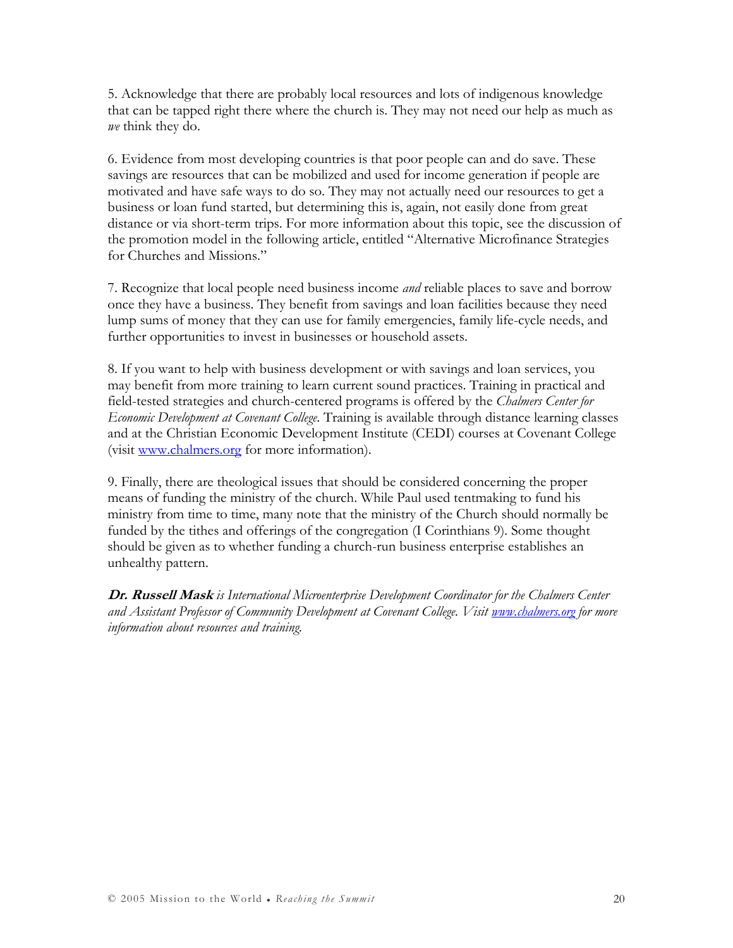5. Acknowledge that there are probably local resources and lots of indigenous knowledge that can be tapped right there where the church is. They may not need our help as much as we think they do.

6. Evidence from most developing countries is that poor people can and do save. These savings are resources that can be mobilized and used for income generation if people are motivated and have safe ways to do so. They may not actually need our resources to get a business or loan fund started, but determining this is, again, not easily done from great distance or via short-term trips. For more information about this topic, see the discussion of the promotion model in the following article, entitled "Alternative Microfinance Strategies for Churches and Missions."

7. Recognize that local people need business income and reliable places to save and borrow once they have a business. They benefit from savings and loan facilities because they need lump sums of money that they can use for family emergencies, family life-cycle needs, and further opportunities to invest in businesses or household assets.

8. If you want to help with business development or with savings and loan services, you may benefit from more training to learn current sound practices. Training in practical and field-tested strategies and church-centered programs is offered by the Chalmers Center for Economic Development at Covenant College. Training is available through distance learning classes and at the Christian Economic Development Institute (CEDI) courses at Covenant College (visit www.chalmers.org for more information).

9. Finally, there are theological issues that should be considered concerning the proper means of funding the ministry of the church. While Paul used tentmaking to fund his ministry from time to time, many note that the ministry of the Church should normally be funded by the tithes and offerings of the congregation (I Corinthians 9). Some thought should be given as to whether funding a church-run business enterprise establishes an unhealthy pattern.

Dr. Russell Mask is International Microenterprise Development Coordinator for the Chalmers Center and Assistant Professor of Community Development at Covenant College. Visit www.chalmers.org for more information about resources and training.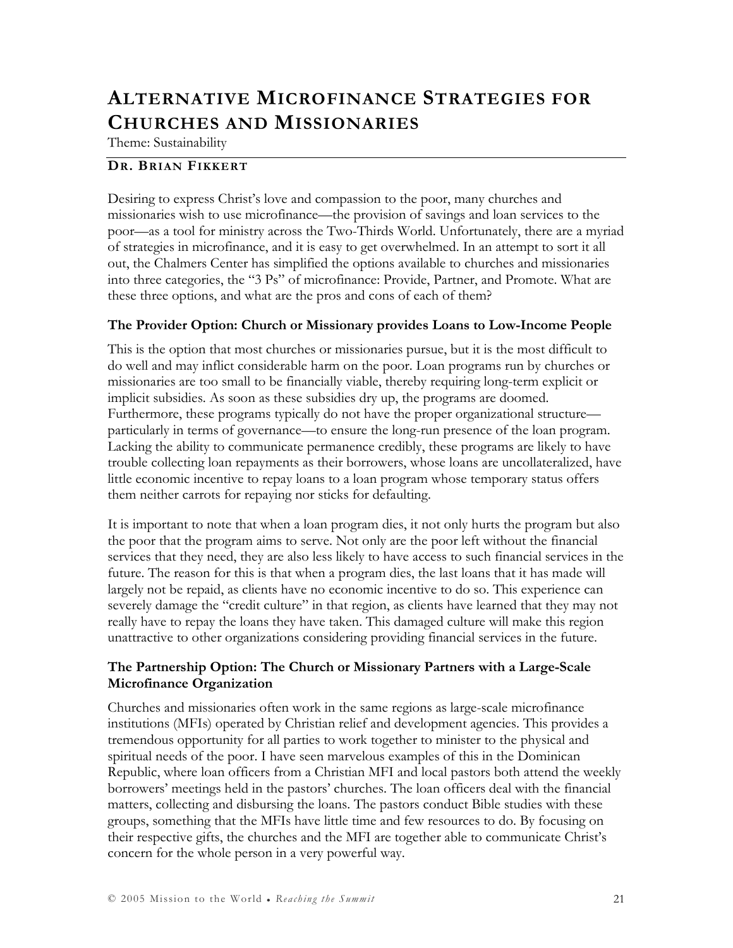# ALTERNATIVE MICROFINANCE STRATEGIES FOR CHURCHES AND MISSIONARIES

Theme: Sustainability

#### DR. BRIAN FIKKERT

Desiring to express Christ's love and compassion to the poor, many churches and missionaries wish to use microfinance—the provision of savings and loan services to the poor—as a tool for ministry across the Two-Thirds World. Unfortunately, there are a myriad of strategies in microfinance, and it is easy to get overwhelmed. In an attempt to sort it all out, the Chalmers Center has simplified the options available to churches and missionaries into three categories, the "3 Ps" of microfinance: Provide, Partner, and Promote. What are these three options, and what are the pros and cons of each of them?

#### The Provider Option: Church or Missionary provides Loans to Low-Income People

This is the option that most churches or missionaries pursue, but it is the most difficult to do well and may inflict considerable harm on the poor. Loan programs run by churches or missionaries are too small to be financially viable, thereby requiring long-term explicit or implicit subsidies. As soon as these subsidies dry up, the programs are doomed. Furthermore, these programs typically do not have the proper organizational structure particularly in terms of governance—to ensure the long-run presence of the loan program. Lacking the ability to communicate permanence credibly, these programs are likely to have trouble collecting loan repayments as their borrowers, whose loans are uncollateralized, have little economic incentive to repay loans to a loan program whose temporary status offers them neither carrots for repaying nor sticks for defaulting.

It is important to note that when a loan program dies, it not only hurts the program but also the poor that the program aims to serve. Not only are the poor left without the financial services that they need, they are also less likely to have access to such financial services in the future. The reason for this is that when a program dies, the last loans that it has made will largely not be repaid, as clients have no economic incentive to do so. This experience can severely damage the "credit culture" in that region, as clients have learned that they may not really have to repay the loans they have taken. This damaged culture will make this region unattractive to other organizations considering providing financial services in the future.

#### The Partnership Option: The Church or Missionary Partners with a Large-Scale Microfinance Organization

Churches and missionaries often work in the same regions as large-scale microfinance institutions (MFIs) operated by Christian relief and development agencies. This provides a tremendous opportunity for all parties to work together to minister to the physical and spiritual needs of the poor. I have seen marvelous examples of this in the Dominican Republic, where loan officers from a Christian MFI and local pastors both attend the weekly borrowers' meetings held in the pastors' churches. The loan officers deal with the financial matters, collecting and disbursing the loans. The pastors conduct Bible studies with these groups, something that the MFIs have little time and few resources to do. By focusing on their respective gifts, the churches and the MFI are together able to communicate Christ's concern for the whole person in a very powerful way.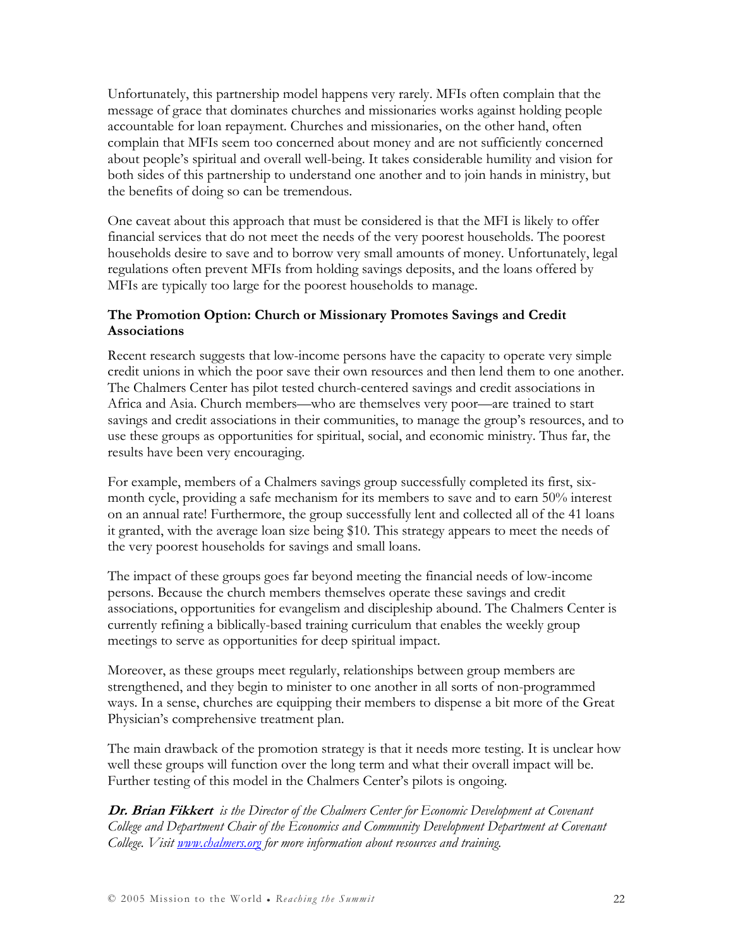Unfortunately, this partnership model happens very rarely. MFIs often complain that the message of grace that dominates churches and missionaries works against holding people accountable for loan repayment. Churches and missionaries, on the other hand, often complain that MFIs seem too concerned about money and are not sufficiently concerned about people's spiritual and overall well-being. It takes considerable humility and vision for both sides of this partnership to understand one another and to join hands in ministry, but the benefits of doing so can be tremendous.

One caveat about this approach that must be considered is that the MFI is likely to offer financial services that do not meet the needs of the very poorest households. The poorest households desire to save and to borrow very small amounts of money. Unfortunately, legal regulations often prevent MFIs from holding savings deposits, and the loans offered by MFIs are typically too large for the poorest households to manage.

#### The Promotion Option: Church or Missionary Promotes Savings and Credit Associations

Recent research suggests that low-income persons have the capacity to operate very simple credit unions in which the poor save their own resources and then lend them to one another. The Chalmers Center has pilot tested church-centered savings and credit associations in Africa and Asia. Church members—who are themselves very poor—are trained to start savings and credit associations in their communities, to manage the group's resources, and to use these groups as opportunities for spiritual, social, and economic ministry. Thus far, the results have been very encouraging.

For example, members of a Chalmers savings group successfully completed its first, sixmonth cycle, providing a safe mechanism for its members to save and to earn 50% interest on an annual rate! Furthermore, the group successfully lent and collected all of the 41 loans it granted, with the average loan size being \$10. This strategy appears to meet the needs of the very poorest households for savings and small loans.

The impact of these groups goes far beyond meeting the financial needs of low-income persons. Because the church members themselves operate these savings and credit associations, opportunities for evangelism and discipleship abound. The Chalmers Center is currently refining a biblically-based training curriculum that enables the weekly group meetings to serve as opportunities for deep spiritual impact.

Moreover, as these groups meet regularly, relationships between group members are strengthened, and they begin to minister to one another in all sorts of non-programmed ways. In a sense, churches are equipping their members to dispense a bit more of the Great Physician's comprehensive treatment plan.

The main drawback of the promotion strategy is that it needs more testing. It is unclear how well these groups will function over the long term and what their overall impact will be. Further testing of this model in the Chalmers Center's pilots is ongoing.

**Dr. Brian Fikkert** is the Director of the Chalmers Center for Economic Development at Covenant College and Department Chair of the Economics and Community Development Department at Covenant College. Visit *www.chalmers.org* for more information about resources and training.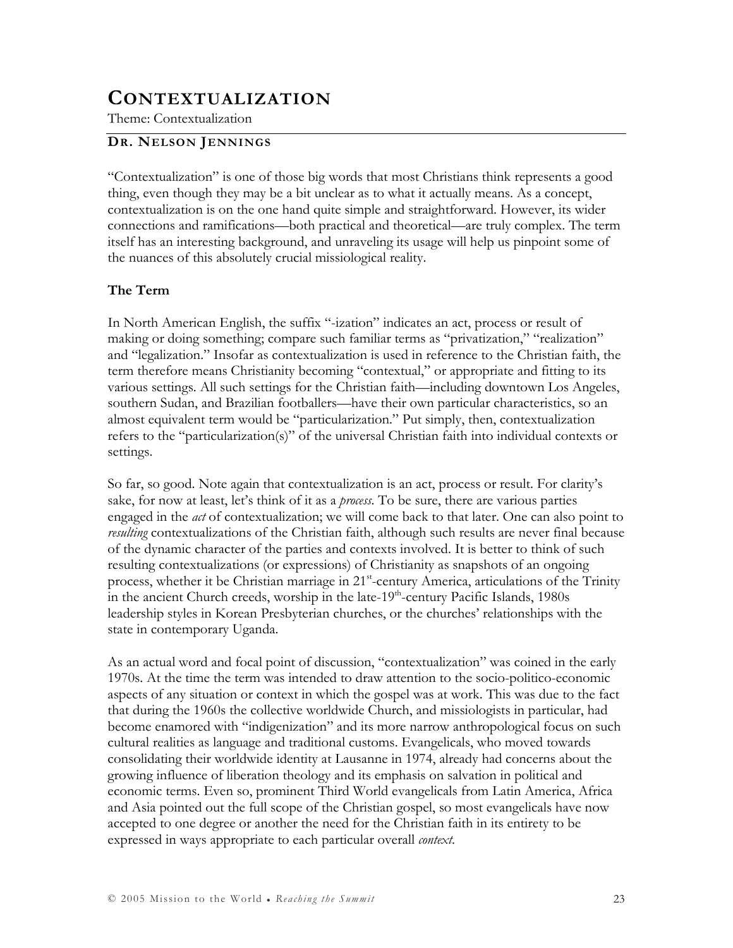### CONTEXTUALIZATION

Theme: Contextualization

#### DR. NELSON JENNINGS

"Contextualization" is one of those big words that most Christians think represents a good thing, even though they may be a bit unclear as to what it actually means. As a concept, contextualization is on the one hand quite simple and straightforward. However, its wider connections and ramifications—both practical and theoretical—are truly complex. The term itself has an interesting background, and unraveling its usage will help us pinpoint some of the nuances of this absolutely crucial missiological reality.

#### The Term

In North American English, the suffix "-ization" indicates an act, process or result of making or doing something; compare such familiar terms as "privatization," "realization" and "legalization." Insofar as contextualization is used in reference to the Christian faith, the term therefore means Christianity becoming "contextual," or appropriate and fitting to its various settings. All such settings for the Christian faith—including downtown Los Angeles, southern Sudan, and Brazilian footballers—have their own particular characteristics, so an almost equivalent term would be "particularization." Put simply, then, contextualization refers to the "particularization(s)" of the universal Christian faith into individual contexts or settings.

So far, so good. Note again that contextualization is an act, process or result. For clarity's sake, for now at least, let's think of it as a *process*. To be sure, there are various parties engaged in the *act* of contextualization; we will come back to that later. One can also point to resulting contextualizations of the Christian faith, although such results are never final because of the dynamic character of the parties and contexts involved. It is better to think of such resulting contextualizations (or expressions) of Christianity as snapshots of an ongoing process, whether it be Christian marriage in 21<sup>st</sup>-century America, articulations of the Trinity in the ancient Church creeds, worship in the late-19<sup>th</sup>-century Pacific Islands, 1980s leadership styles in Korean Presbyterian churches, or the churches' relationships with the state in contemporary Uganda.

As an actual word and focal point of discussion, "contextualization" was coined in the early 1970s. At the time the term was intended to draw attention to the socio-politico-economic aspects of any situation or context in which the gospel was at work. This was due to the fact that during the 1960s the collective worldwide Church, and missiologists in particular, had become enamored with "indigenization" and its more narrow anthropological focus on such cultural realities as language and traditional customs. Evangelicals, who moved towards consolidating their worldwide identity at Lausanne in 1974, already had concerns about the growing influence of liberation theology and its emphasis on salvation in political and economic terms. Even so, prominent Third World evangelicals from Latin America, Africa and Asia pointed out the full scope of the Christian gospel, so most evangelicals have now accepted to one degree or another the need for the Christian faith in its entirety to be expressed in ways appropriate to each particular overall context.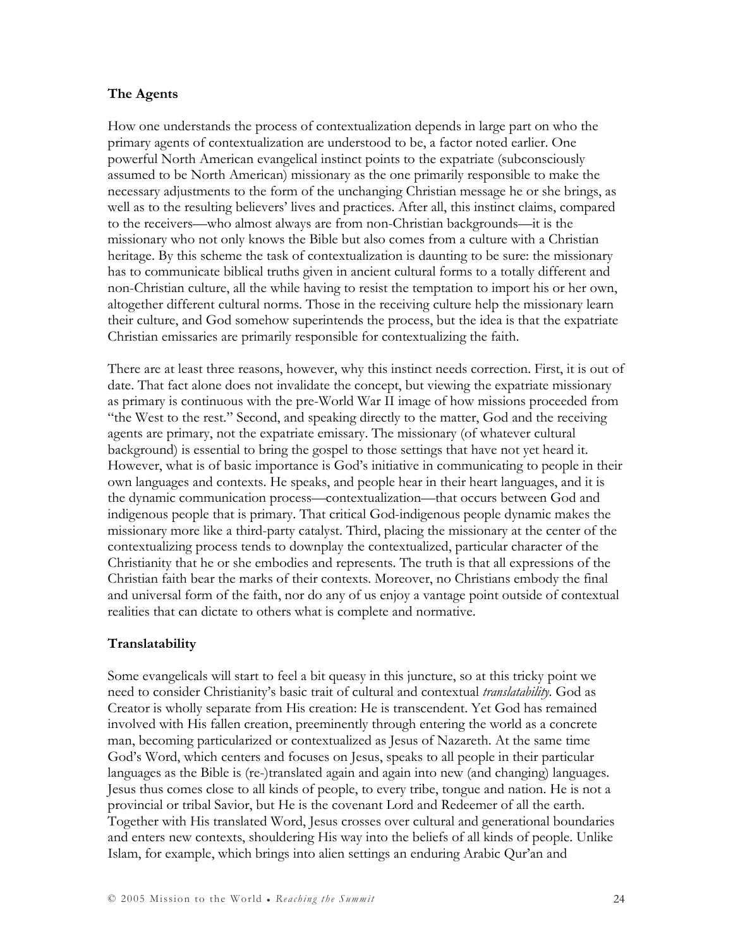#### The Agents

How one understands the process of contextualization depends in large part on who the primary agents of contextualization are understood to be, a factor noted earlier. One powerful North American evangelical instinct points to the expatriate (subconsciously assumed to be North American) missionary as the one primarily responsible to make the necessary adjustments to the form of the unchanging Christian message he or she brings, as well as to the resulting believers' lives and practices. After all, this instinct claims, compared to the receivers—who almost always are from non-Christian backgrounds—it is the missionary who not only knows the Bible but also comes from a culture with a Christian heritage. By this scheme the task of contextualization is daunting to be sure: the missionary has to communicate biblical truths given in ancient cultural forms to a totally different and non-Christian culture, all the while having to resist the temptation to import his or her own, altogether different cultural norms. Those in the receiving culture help the missionary learn their culture, and God somehow superintends the process, but the idea is that the expatriate Christian emissaries are primarily responsible for contextualizing the faith.

There are at least three reasons, however, why this instinct needs correction. First, it is out of date. That fact alone does not invalidate the concept, but viewing the expatriate missionary as primary is continuous with the pre-World War II image of how missions proceeded from "the West to the rest." Second, and speaking directly to the matter, God and the receiving agents are primary, not the expatriate emissary. The missionary (of whatever cultural background) is essential to bring the gospel to those settings that have not yet heard it. However, what is of basic importance is God's initiative in communicating to people in their own languages and contexts. He speaks, and people hear in their heart languages, and it is the dynamic communication process—contextualization—that occurs between God and indigenous people that is primary. That critical God-indigenous people dynamic makes the missionary more like a third-party catalyst. Third, placing the missionary at the center of the contextualizing process tends to downplay the contextualized, particular character of the Christianity that he or she embodies and represents. The truth is that all expressions of the Christian faith bear the marks of their contexts. Moreover, no Christians embody the final and universal form of the faith, nor do any of us enjoy a vantage point outside of contextual realities that can dictate to others what is complete and normative.

#### Translatability

Some evangelicals will start to feel a bit queasy in this juncture, so at this tricky point we need to consider Christianity's basic trait of cultural and contextual *translatability*. God as Creator is wholly separate from His creation: He is transcendent. Yet God has remained involved with His fallen creation, preeminently through entering the world as a concrete man, becoming particularized or contextualized as Jesus of Nazareth. At the same time God's Word, which centers and focuses on Jesus, speaks to all people in their particular languages as the Bible is (re-)translated again and again into new (and changing) languages. Jesus thus comes close to all kinds of people, to every tribe, tongue and nation. He is not a provincial or tribal Savior, but He is the covenant Lord and Redeemer of all the earth. Together with His translated Word, Jesus crosses over cultural and generational boundaries and enters new contexts, shouldering His way into the beliefs of all kinds of people. Unlike Islam, for example, which brings into alien settings an enduring Arabic Qur'an and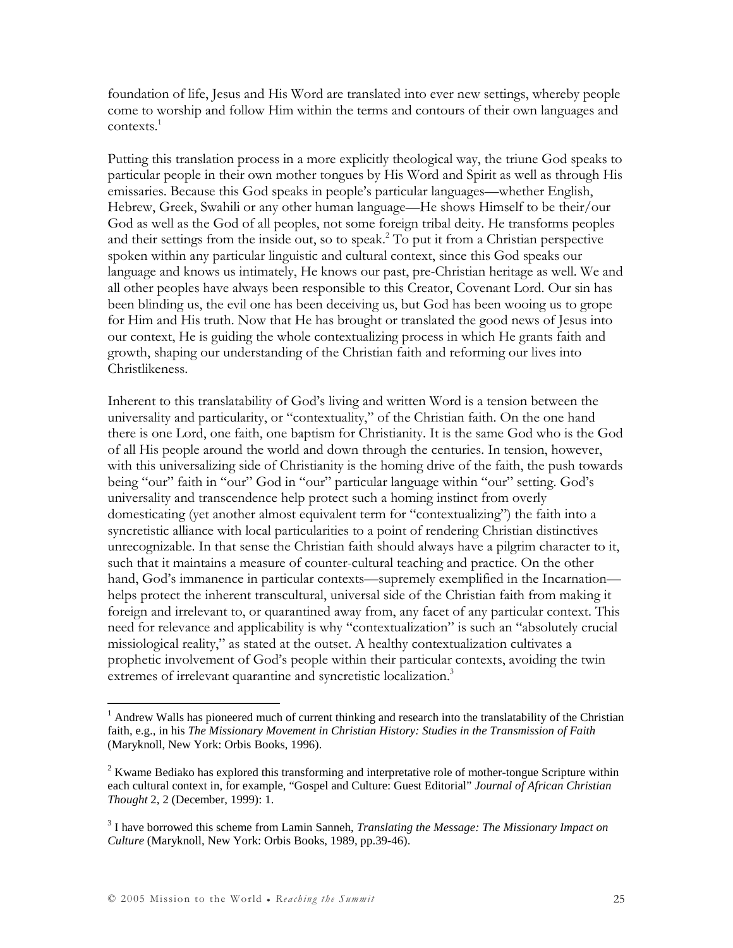foundation of life, Jesus and His Word are translated into ever new settings, whereby people come to worship and follow Him within the terms and contours of their own languages and contexts.<sup>1</sup>

Putting this translation process in a more explicitly theological way, the triune God speaks to particular people in their own mother tongues by His Word and Spirit as well as through His emissaries. Because this God speaks in people's particular languages—whether English, Hebrew, Greek, Swahili or any other human language—He shows Himself to be their/our God as well as the God of all peoples, not some foreign tribal deity. He transforms peoples and their settings from the inside out, so to speak. 2 To put it from a Christian perspective spoken within any particular linguistic and cultural context, since this God speaks our language and knows us intimately, He knows our past, pre-Christian heritage as well. We and all other peoples have always been responsible to this Creator, Covenant Lord. Our sin has been blinding us, the evil one has been deceiving us, but God has been wooing us to grope for Him and His truth. Now that He has brought or translated the good news of Jesus into our context, He is guiding the whole contextualizing process in which He grants faith and growth, shaping our understanding of the Christian faith and reforming our lives into Christlikeness.

Inherent to this translatability of God's living and written Word is a tension between the universality and particularity, or "contextuality," of the Christian faith. On the one hand there is one Lord, one faith, one baptism for Christianity. It is the same God who is the God of all His people around the world and down through the centuries. In tension, however, with this universalizing side of Christianity is the homing drive of the faith, the push towards being "our" faith in "our" God in "our" particular language within "our" setting. God's universality and transcendence help protect such a homing instinct from overly domesticating (yet another almost equivalent term for "contextualizing") the faith into a syncretistic alliance with local particularities to a point of rendering Christian distinctives unrecognizable. In that sense the Christian faith should always have a pilgrim character to it, such that it maintains a measure of counter-cultural teaching and practice. On the other hand, God's immanence in particular contexts—supremely exemplified in the Incarnation helps protect the inherent transcultural, universal side of the Christian faith from making it foreign and irrelevant to, or quarantined away from, any facet of any particular context. This need for relevance and applicability is why "contextualization" is such an "absolutely crucial missiological reality," as stated at the outset. A healthy contextualization cultivates a prophetic involvement of God's people within their particular contexts, avoiding the twin extremes of irrelevant quarantine and syncretistic localization.<sup>3</sup>

 $\overline{a}$ 

<sup>&</sup>lt;sup>1</sup> Andrew Walls has pioneered much of current thinking and research into the translatability of the Christian faith, e.g., in his *The Missionary Movement in Christian History: Studies in the Transmission of Faith* (Maryknoll, New York: Orbis Books, 1996).

 $2^{2}$  Kwame Bediako has explored this transforming and interpretative role of mother-tongue Scripture within each cultural context in, for example, "Gospel and Culture: Guest Editorial" *Journal of African Christian Thought* 2, 2 (December, 1999): 1.

<sup>3</sup> I have borrowed this scheme from Lamin Sanneh, *Translating the Message: The Missionary Impact on Culture* (Maryknoll, New York: Orbis Books, 1989, pp.39-46).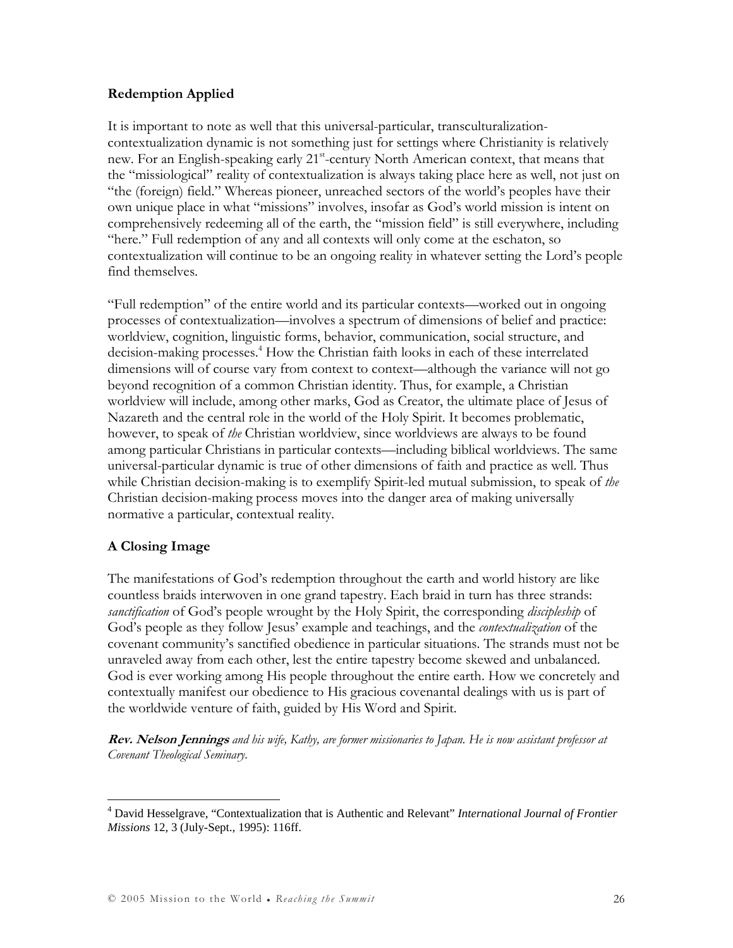#### Redemption Applied

It is important to note as well that this universal-particular, transculturalizationcontextualization dynamic is not something just for settings where Christianity is relatively new. For an English-speaking early 21<sup>st</sup>-century North American context, that means that the "missiological" reality of contextualization is always taking place here as well, not just on "the (foreign) field." Whereas pioneer, unreached sectors of the world's peoples have their own unique place in what "missions" involves, insofar as God's world mission is intent on comprehensively redeeming all of the earth, the "mission field" is still everywhere, including "here." Full redemption of any and all contexts will only come at the eschaton, so contextualization will continue to be an ongoing reality in whatever setting the Lord's people find themselves.

"Full redemption" of the entire world and its particular contexts—worked out in ongoing processes of contextualization—involves a spectrum of dimensions of belief and practice: worldview, cognition, linguistic forms, behavior, communication, social structure, and decision-making processes.<sup>4</sup> How the Christian faith looks in each of these interrelated dimensions will of course vary from context to context—although the variance will not go beyond recognition of a common Christian identity. Thus, for example, a Christian worldview will include, among other marks, God as Creator, the ultimate place of Jesus of Nazareth and the central role in the world of the Holy Spirit. It becomes problematic, however, to speak of the Christian worldview, since worldviews are always to be found among particular Christians in particular contexts—including biblical worldviews. The same universal-particular dynamic is true of other dimensions of faith and practice as well. Thus while Christian decision-making is to exemplify Spirit-led mutual submission, to speak of the Christian decision-making process moves into the danger area of making universally normative a particular, contextual reality.

#### A Closing Image

 $\overline{a}$ 

The manifestations of God's redemption throughout the earth and world history are like countless braids interwoven in one grand tapestry. Each braid in turn has three strands: sanctification of God's people wrought by the Holy Spirit, the corresponding discipleship of God's people as they follow Jesus' example and teachings, and the *contextualization* of the covenant community's sanctified obedience in particular situations. The strands must not be unraveled away from each other, lest the entire tapestry become skewed and unbalanced. God is ever working among His people throughout the entire earth. How we concretely and contextually manifest our obedience to His gracious covenantal dealings with us is part of the worldwide venture of faith, guided by His Word and Spirit.

Rev. Nelson Jennings and his wife, Kathy, are former missionaries to Japan. He is now assistant professor at Covenant Theological Seminary.

<sup>4</sup> David Hesselgrave, "Contextualization that is Authentic and Relevant" *International Journal of Frontier Missions* 12, 3 (July-Sept., 1995): 116ff.